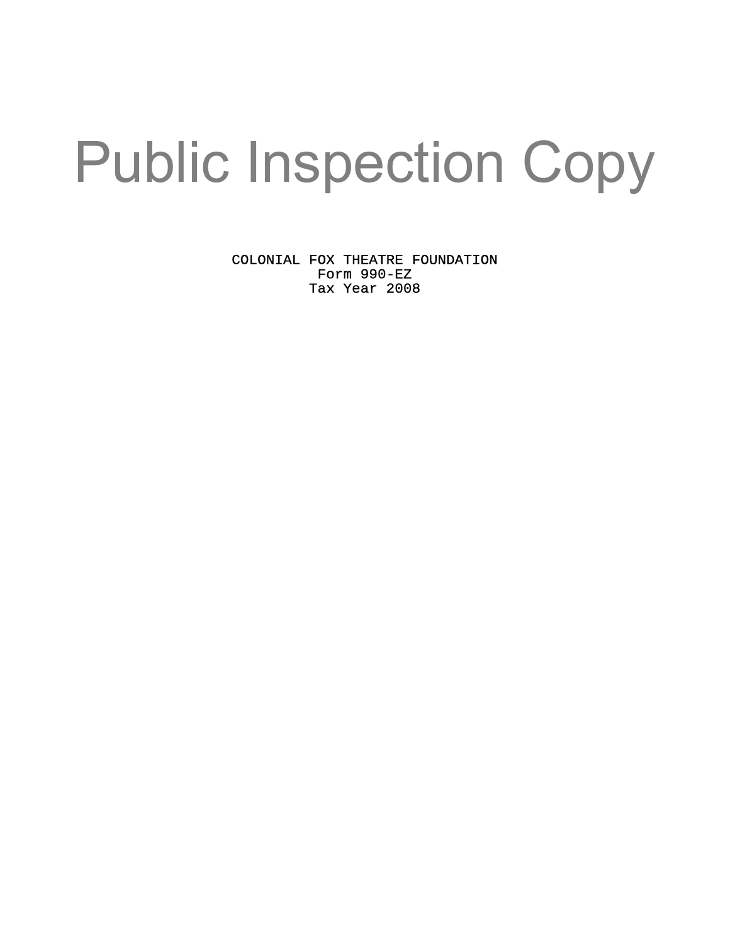# Public Inspection Copy

COLONIAL FOX THEATRE FOUNDATION Form 990-EZ Tax Year 2008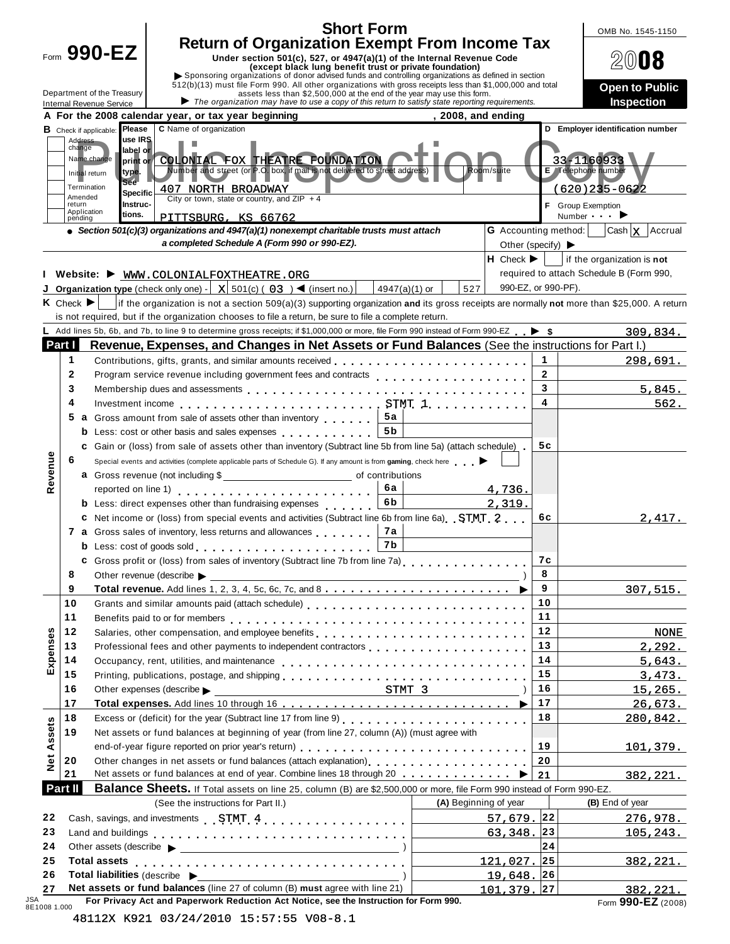|                              |         |                                                          |                                                                                                                                                                                                                                  | <b>Short Form</b> |                       |                                       |                         | OMB No. 1545-1150                                 |
|------------------------------|---------|----------------------------------------------------------|----------------------------------------------------------------------------------------------------------------------------------------------------------------------------------------------------------------------------------|-------------------|-----------------------|---------------------------------------|-------------------------|---------------------------------------------------|
|                              |         | Form 990-EZ                                              | <b>Return of Organization Exempt From Income Tax</b>                                                                                                                                                                             |                   |                       |                                       |                         |                                                   |
|                              |         |                                                          | Under section 501(c), 527, or 4947(a)(1) of the Internal Revenue Code<br>(except black lung benefit trust or private foundation)                                                                                                 |                   |                       |                                       |                         | 0008                                              |
|                              |         |                                                          | Sponsoring organizations of donor advised funds and controlling organizations as defined in section                                                                                                                              |                   |                       |                                       |                         |                                                   |
|                              |         | Department of the Treasury                               | 512(b)(13) must file Form 990. All other organizations with gross receipts less than \$1,000,000 and total<br>assets less than \$2,500,000 at the end of the year may use this form.                                             |                   |                       |                                       |                         | <b>Open to Public</b>                             |
|                              |         | <b>Internal Revenue Service</b>                          | $\triangleright$ The organization may have to use a copy of this return to satisfy state reporting requirements.                                                                                                                 |                   |                       |                                       |                         | Inspection                                        |
|                              |         |                                                          | A For the 2008 calendar year, or tax year beginning                                                                                                                                                                              |                   | $, 2008,$ and ending  |                                       |                         |                                                   |
|                              | Address | Please<br><b>B</b> Check if applicable:<br>use IRS       | C Name of organization                                                                                                                                                                                                           |                   |                       |                                       |                         | D Employer identification number                  |
|                              | change  | label or                                                 |                                                                                                                                                                                                                                  |                   |                       |                                       |                         |                                                   |
|                              |         | Name change<br>print or<br>type.                         | COLONIAL FOX THEATRE FOUNDATION<br>Number and street (or P.O. box, if mail is not delivered to street address)                                                                                                                   |                   |                       | Room/suite                            |                         | 33-1160933<br>E Telephone number                  |
|                              |         | Initial return<br><b>See</b><br>Termination              |                                                                                                                                                                                                                                  |                   |                       |                                       |                         |                                                   |
|                              | Amended | Specific                                                 | 407 NORTH BROADWAY<br>City or town, state or country, and ZIP $+4$                                                                                                                                                               |                   |                       |                                       |                         | (620)235-0622                                     |
|                              | return  | Instruc-<br>Application<br>tions.                        | PITTSBURG, KS 66762                                                                                                                                                                                                              |                   |                       |                                       |                         | F Group Exemption<br>Number $\blacktriangleright$ |
|                              | pending |                                                          | • Section 501(c)(3) organizations and 4947(a)(1) nonexempt charitable trusts must attach                                                                                                                                         |                   |                       | <b>G</b> Accounting method:           |                         | $\vert$ Cash $\vert$ <b>X</b> $\vert$ Accrual     |
|                              |         |                                                          | a completed Schedule A (Form 990 or 990-EZ).                                                                                                                                                                                     |                   |                       | Other (specify) $\blacktriangleright$ |                         |                                                   |
|                              |         |                                                          |                                                                                                                                                                                                                                  |                   |                       | $H$ Check $\blacktriangleright$       |                         | if the organization is not                        |
|                              |         |                                                          | Website: WWW.COLONIALFOXTHEATRE.ORG                                                                                                                                                                                              |                   |                       |                                       |                         | required to attach Schedule B (Form 990,          |
|                              |         |                                                          | <b>Organization type</b> (check only one) $- X $ 501(c) (03) $\blacktriangleleft$ (insert no.)                                                                                                                                   | 4947(a)(1) or     | 527                   | 990-EZ, or 990-PF).                   |                         |                                                   |
|                              |         |                                                          | K Check ► if the organization is not a section 509(a)(3) supporting organization and its gross receipts are normally not more than \$25,000. A return                                                                            |                   |                       |                                       |                         |                                                   |
|                              |         |                                                          | is not required, but if the organization chooses to file a return, be sure to file a complete return.                                                                                                                            |                   |                       |                                       |                         |                                                   |
|                              |         |                                                          | Add lines 5b, 6b, and 7b, to line 9 to determine gross receipts; if \$1,000,000 or more, file Form 990 instead of Form 990-EZ $\blacktriangleright$ \$                                                                           |                   |                       |                                       |                         | 309,834.                                          |
| Part I                       |         |                                                          | Revenue, Expenses, and Changes in Net Assets or Fund Balances (See the instructions for Part I.)                                                                                                                                 |                   |                       |                                       |                         |                                                   |
|                              | 1       |                                                          | Contributions, gifts, grants, and similar amounts received                                                                                                                                                                       |                   |                       |                                       | $\mathbf 1$             | 298,691.                                          |
|                              | 2       |                                                          | Program service revenue including government fees and contracts                                                                                                                                                                  |                   |                       |                                       | $\overline{2}$          |                                                   |
|                              | 3       |                                                          |                                                                                                                                                                                                                                  |                   |                       |                                       | $\overline{\mathbf{3}}$ | 5,845.                                            |
|                              | 4       |                                                          | Investment income $\ldots \ldots \ldots \ldots \ldots \ldots \ldots \ldots \ldots$ STMT $1 \ldots \ldots \ldots \ldots$                                                                                                          |                   |                       |                                       | $\overline{4}$          | 562.                                              |
|                              | 5       |                                                          | <b>a</b> Gross amount from sale of assets other than inventory <b>19.19 19.19</b>                                                                                                                                                |                   |                       |                                       |                         |                                                   |
|                              |         |                                                          | <b>b</b> Less: cost or other basis and sales expenses <b>contained</b> $\left[\right]$                                                                                                                                           | 5 <sub>b</sub>    |                       |                                       |                         |                                                   |
|                              |         |                                                          | c Gain or (loss) from sale of assets other than inventory (Subtract line 5b from line 5a) (attach schedule).                                                                                                                     |                   |                       |                                       | 5c                      |                                                   |
|                              | 6       |                                                          | Special events and activities (complete applicable parts of Schedule G). If any amount is from gaming, check here                                                                                                                |                   |                       |                                       |                         |                                                   |
| Revenue                      |         |                                                          | a Gross revenue (not including \$                                                                                                                                                                                                |                   |                       |                                       |                         |                                                   |
|                              |         |                                                          | reported on line 1) $\ldots \ldots \ldots \ldots \ldots \ldots \ldots \ldots \mid 6a$                                                                                                                                            |                   |                       | 4,736.                                |                         |                                                   |
|                              |         |                                                          | <b>b</b> Less: direct expenses other than fundraising expenses                                                                                                                                                                   | 6 <sub>b</sub>    |                       | 2,319.                                |                         |                                                   |
|                              |         |                                                          | C Net income or (loss) from special events and activities (Subtract line 6b from line 6a) STMT 2                                                                                                                                 |                   |                       |                                       | 6c                      | 2.417.                                            |
|                              |         |                                                          | <b>a</b> Gross sales of inventory, less returns and allowances                                                                                                                                                                   | 7а                |                       |                                       |                         |                                                   |
|                              |         |                                                          | <b>b</b> Less: cost of goods sold entering the set of the set of goods sold                                                                                                                                                      | 7 <sub>b</sub>    |                       |                                       |                         |                                                   |
|                              |         |                                                          | C Gross profit or (loss) from sales of inventory (Subtract line 7b from line 7a) [1] Casage State Line 7b from line 7a                                                                                                           |                   |                       |                                       | 7 C                     |                                                   |
|                              | 8       |                                                          | Other revenue (describe $\blacktriangleright$<br><u> 1989 - Johann Barn, fransk politik (d. 1989)</u>                                                                                                                            |                   |                       |                                       | 8                       |                                                   |
|                              | 9       |                                                          |                                                                                                                                                                                                                                  |                   |                       |                                       | 9                       | <u>307,515.</u>                                   |
|                              | 10      |                                                          |                                                                                                                                                                                                                                  |                   |                       |                                       | 10                      |                                                   |
|                              | 11      |                                                          |                                                                                                                                                                                                                                  |                   |                       |                                       | 11                      |                                                   |
|                              | 12      |                                                          |                                                                                                                                                                                                                                  |                   |                       |                                       | 12                      | <b>NONE</b>                                       |
| Expenses                     | 13      |                                                          | Professional fees and other payments to independent contractors                                                                                                                                                                  |                   |                       |                                       | 13                      | 2,292.                                            |
|                              | 14      |                                                          |                                                                                                                                                                                                                                  |                   |                       |                                       | 14                      | 5,643.                                            |
|                              | 15      |                                                          |                                                                                                                                                                                                                                  |                   |                       |                                       | 15                      | 3,473.                                            |
|                              | 16      |                                                          | $STMT$ 3<br>Other expenses (describe                                                                                                                                                                                             |                   |                       |                                       | 16                      | 15,265.                                           |
|                              | 17      |                                                          |                                                                                                                                                                                                                                  |                   |                       |                                       | 17                      | 26,673.                                           |
|                              | 18      |                                                          |                                                                                                                                                                                                                                  |                   |                       |                                       | 18                      | 280,842.                                          |
|                              | 19      |                                                          | Net assets or fund balances at beginning of year (from line 27, column (A)) (must agree with                                                                                                                                     |                   |                       |                                       |                         |                                                   |
|                              |         |                                                          | end-of-year figure reported on prior year's return)                                                                                                                                                                              |                   |                       |                                       | 19                      | <u> 101,379.</u>                                  |
|                              | 20      |                                                          | Other changes in net assets or fund balances (attach explanation)<br>yetarion, yetaration, yetaration, yetaration, yetaration, yetaration, yetaration, yetaration, yetaration, yetaration, yetaration, yetaration, yetaration, y |                   |                       |                                       | 20                      |                                                   |
|                              | 21      |                                                          | Net assets or fund balances at end of year. Combine lines 18 through 20 ▶                                                                                                                                                        |                   |                       |                                       | 21                      | 382,221.                                          |
|                              |         |                                                          | Balance Sheets. If Total assets on line 25, column (B) are \$2,500,000 or more, file Form 990 instead of Form 990-EZ.                                                                                                            |                   |                       |                                       |                         |                                                   |
|                              | Part II |                                                          | (See the instructions for Part II.)                                                                                                                                                                                              |                   | (A) Beginning of year |                                       |                         | (B) End of year                                   |
|                              |         |                                                          |                                                                                                                                                                                                                                  |                   |                       |                                       |                         |                                                   |
|                              |         |                                                          |                                                                                                                                                                                                                                  |                   |                       | $57,679.$ 22                          |                         |                                                   |
|                              |         |                                                          | Land and buildings enterprise research and and buildings and contained a series of the series of the series of                                                                                                                   |                   |                       | $63,348.$ 23                          |                         |                                                   |
| Net Assets<br>22<br>23<br>24 |         |                                                          |                                                                                                                                                                                                                                  |                   |                       |                                       | 24                      |                                                   |
| 25                           |         |                                                          |                                                                                                                                                                                                                                  |                   |                       | 121,027.25                            |                         |                                                   |
| 26                           |         | <b>Total liabilities</b> (describe $\blacktriangleright$ | Net assets or fund balances (line 27 of column (B) must agree with line 21)                                                                                                                                                      |                   |                       | 19,648.26                             |                         | 276,978.<br>105, 243.<br><u>382,221.</u>          |

| 48112X K921 03/24/2010 15:57:55 V08-8.1 |  |  |  |  |
|-----------------------------------------|--|--|--|--|
|-----------------------------------------|--|--|--|--|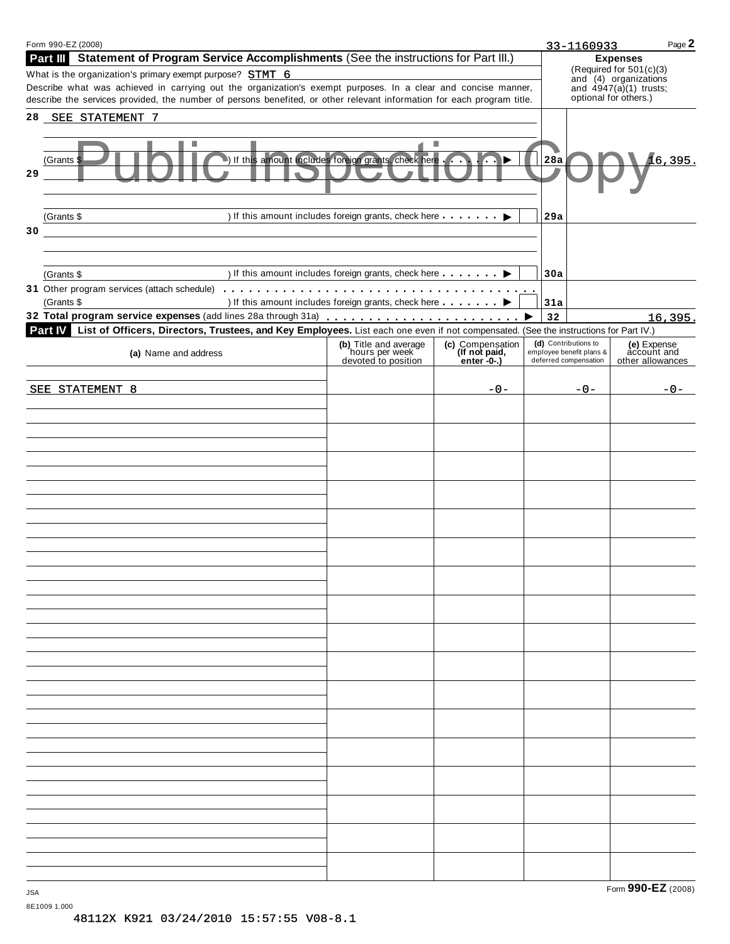|            | Form 990-EZ (2008)                                                                                                                                                                                                                                                                                   |                                                                           |                                 |     | 33-1160933                                                                            | Page 2                          |
|------------|------------------------------------------------------------------------------------------------------------------------------------------------------------------------------------------------------------------------------------------------------------------------------------------------------|---------------------------------------------------------------------------|---------------------------------|-----|---------------------------------------------------------------------------------------|---------------------------------|
|            | Statement of Program Service Accomplishments (See the instructions for Part III.)<br>Part III                                                                                                                                                                                                        |                                                                           |                                 |     | <b>Expenses</b><br>(Required for 501(c)(3)                                            |                                 |
|            | What is the organization's primary exempt purpose? STMT 6<br>Describe what was achieved in carrying out the organization's exempt purposes. In a clear and concise manner,<br>describe the services provided, the number of persons benefited, or other relevant information for each program title. |                                                                           |                                 |     | and (4) organizations<br>and $\overline{4947(a)}(1)$ trusts;<br>optional for others.) |                                 |
|            | 28 SEE STATEMENT 7                                                                                                                                                                                                                                                                                   |                                                                           |                                 |     |                                                                                       |                                 |
| 29         | ٠<br>(Grants ¶                                                                                                                                                                                                                                                                                       | If this amount includes foreign grants, check here                        | ш                               | 28a |                                                                                       | 16,395.                         |
|            | (Grants \$                                                                                                                                                                                                                                                                                           | ) If this amount includes foreign grants, check here                      | ▶                               | 29a |                                                                                       |                                 |
| 30         |                                                                                                                                                                                                                                                                                                      |                                                                           |                                 |     |                                                                                       |                                 |
|            | (Grants \$                                                                                                                                                                                                                                                                                           | ) If this amount includes foreign grants, check here <b>interestingly</b> |                                 | 30a |                                                                                       |                                 |
|            | (Grants \$                                                                                                                                                                                                                                                                                           | ) If this amount includes foreign grants, check here <b>contact</b> ▶     |                                 | 31a |                                                                                       |                                 |
|            |                                                                                                                                                                                                                                                                                                      |                                                                           |                                 | 32  |                                                                                       | 16,395.                         |
|            | List of Officers, Directors, Trustees, and Key Employees. List each one even if not compensated. (See the instructions for Part IV.)<br><b>Part IV</b>                                                                                                                                               | (b) Title and average                                                     | (c) Compensation                |     | (d) Contributions to                                                                  | (e) Expense                     |
|            | (a) Name and address                                                                                                                                                                                                                                                                                 | hours per week<br>devoted to position                                     | (If not paid,<br>enter $-0$ -.) |     | employee benefit plans &<br>deferred compensation                                     | account and<br>other allowances |
|            | SEE STATEMENT 8                                                                                                                                                                                                                                                                                      |                                                                           | $-0-$                           |     | $-0-$                                                                                 | -0-                             |
|            |                                                                                                                                                                                                                                                                                                      |                                                                           |                                 |     |                                                                                       |                                 |
|            |                                                                                                                                                                                                                                                                                                      |                                                                           |                                 |     |                                                                                       |                                 |
|            |                                                                                                                                                                                                                                                                                                      |                                                                           |                                 |     |                                                                                       |                                 |
|            |                                                                                                                                                                                                                                                                                                      |                                                                           |                                 |     |                                                                                       |                                 |
|            |                                                                                                                                                                                                                                                                                                      |                                                                           |                                 |     |                                                                                       |                                 |
|            |                                                                                                                                                                                                                                                                                                      |                                                                           |                                 |     |                                                                                       |                                 |
|            |                                                                                                                                                                                                                                                                                                      |                                                                           |                                 |     |                                                                                       |                                 |
|            |                                                                                                                                                                                                                                                                                                      |                                                                           |                                 |     |                                                                                       |                                 |
|            |                                                                                                                                                                                                                                                                                                      |                                                                           |                                 |     |                                                                                       |                                 |
|            |                                                                                                                                                                                                                                                                                                      |                                                                           |                                 |     |                                                                                       |                                 |
|            |                                                                                                                                                                                                                                                                                                      |                                                                           |                                 |     |                                                                                       |                                 |
|            |                                                                                                                                                                                                                                                                                                      |                                                                           |                                 |     |                                                                                       |                                 |
|            |                                                                                                                                                                                                                                                                                                      |                                                                           |                                 |     |                                                                                       |                                 |
|            |                                                                                                                                                                                                                                                                                                      |                                                                           |                                 |     |                                                                                       |                                 |
|            |                                                                                                                                                                                                                                                                                                      |                                                                           |                                 |     |                                                                                       |                                 |
|            |                                                                                                                                                                                                                                                                                                      |                                                                           |                                 |     |                                                                                       |                                 |
|            |                                                                                                                                                                                                                                                                                                      |                                                                           |                                 |     |                                                                                       |                                 |
|            |                                                                                                                                                                                                                                                                                                      |                                                                           |                                 |     |                                                                                       |                                 |
|            |                                                                                                                                                                                                                                                                                                      |                                                                           |                                 |     |                                                                                       |                                 |
|            |                                                                                                                                                                                                                                                                                                      |                                                                           |                                 |     |                                                                                       |                                 |
|            |                                                                                                                                                                                                                                                                                                      |                                                                           |                                 |     |                                                                                       |                                 |
| <b>JSA</b> |                                                                                                                                                                                                                                                                                                      |                                                                           |                                 |     |                                                                                       | Form 990-EZ (2008)              |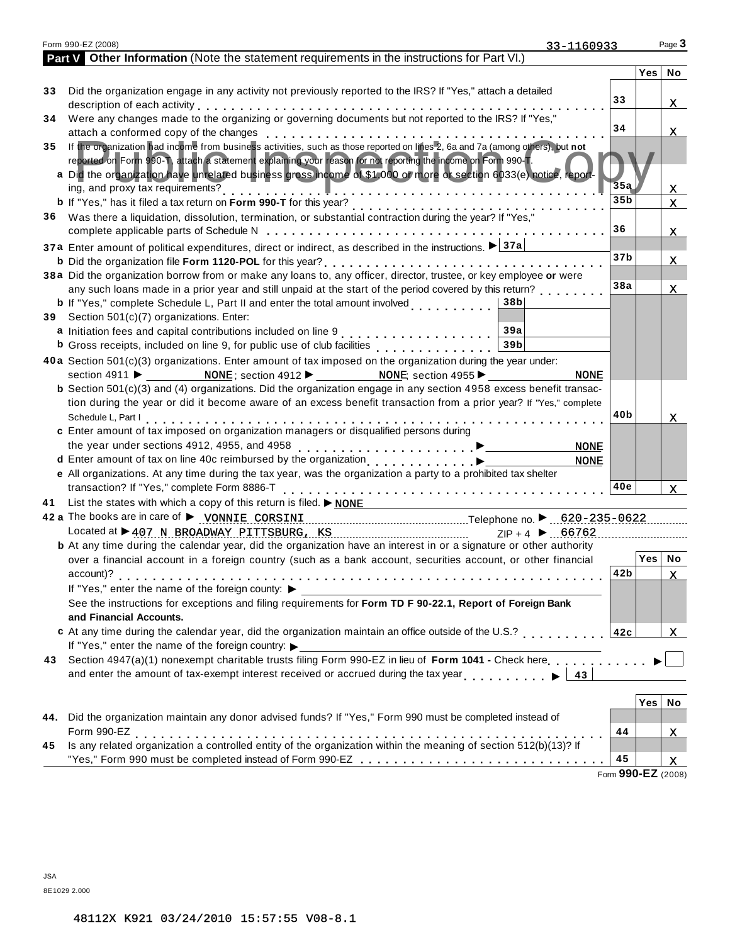|     | Form 990-EZ (2008)<br>33-1160933                                                                                                                                                                                               |                    |          | Page $3$     |
|-----|--------------------------------------------------------------------------------------------------------------------------------------------------------------------------------------------------------------------------------|--------------------|----------|--------------|
|     | Part V Other Information (Note the statement requirements in the instructions for Part VI.)                                                                                                                                    |                    |          |              |
|     |                                                                                                                                                                                                                                |                    | Yes No   |              |
| 33  | Did the organization engage in any activity not previously reported to the IRS? If "Yes," attach a detailed                                                                                                                    |                    |          |              |
|     | description of each activity enterpresent respectively. The set of the set of the set of the set of the set of the set of the set of the set of the set of the set of the set of the set of the set of the set of the set of t | 33                 |          | X.           |
| 34  | Were any changes made to the organizing or governing documents but not reported to the IRS? If "Yes,"                                                                                                                          |                    |          |              |
|     |                                                                                                                                                                                                                                | 34                 |          | X.           |
| 35  | If the organization had income from business activities, such as those reported on lines 2, 6a and 7a (among others), but not                                                                                                  |                    |          |              |
|     | reported on Form 990-T, attach a statement explaining your reason for not reporting the income on Form 990-T.                                                                                                                  |                    |          |              |
|     | a Did the organization have unrelated business gross income of \$1,000 or more of section 6033(e) notice, report                                                                                                               | 35a                |          |              |
|     |                                                                                                                                                                                                                                | 35 <sub>b</sub>    |          | X.           |
| 36. | Was there a liquidation, dissolution, termination, or substantial contraction during the year? If "Yes,"                                                                                                                       |                    |          | $\mathbf{x}$ |
|     |                                                                                                                                                                                                                                | 36                 |          |              |
|     |                                                                                                                                                                                                                                |                    |          | X.           |
|     | 37a Enter amount of political expenditures, direct or indirect, as described in the instructions. ▶ 37a                                                                                                                        | 37 <sub>b</sub>    |          | x            |
|     | 38a Did the organization borrow from or make any loans to, any officer, director, trustee, or key employee or were                                                                                                             |                    |          |              |
|     | any such loans made in a prior year and still unpaid at the start of the period covered by this return?                                                                                                                        | 38a                |          | X.           |
|     | <b>b</b> If "Yes," complete Schedule L, Part II and enter the total amount involved<br>38b∣                                                                                                                                    |                    |          |              |
|     | 39 Section 501(c)(7) organizations. Enter:                                                                                                                                                                                     |                    |          |              |
|     | 39a                                                                                                                                                                                                                            |                    |          |              |
|     | <b>b</b> Gross receipts, included on line 9, for public use of club facilities <b>contained as a set of the Gross</b><br>39 <sub>b</sub>                                                                                       |                    |          |              |
|     | 40a Section 501(c)(3) organizations. Enter amount of tax imposed on the organization during the year under:                                                                                                                    |                    |          |              |
|     | section 4911 $\blacktriangleright$ <b>NONE</b> ; section 4912 $\blacktriangleright$ <b>NONE</b> section 4955 $\blacktriangleright$<br><b>NONE</b>                                                                              |                    |          |              |
|     | <b>b</b> Section $501(c)(3)$ and (4) organizations. Did the organization engage in any section 4958 excess benefit transac-                                                                                                    |                    |          |              |
|     | tion during the year or did it become aware of an excess benefit transaction from a prior year? If "Yes," complete                                                                                                             |                    |          |              |
|     |                                                                                                                                                                                                                                | 40b                |          | x            |
|     | c Enter amount of tax imposed on organization managers or disqualified persons during                                                                                                                                          |                    |          |              |
|     | <b>NONE</b>                                                                                                                                                                                                                    |                    |          |              |
|     | <b>NONE</b>                                                                                                                                                                                                                    |                    |          |              |
|     | e All organizations. At any time during the tax year, was the organization a party to a prohibited tax shelter                                                                                                                 |                    |          |              |
|     | transaction? If "Yes," complete Form 8886-T                                                                                                                                                                                    | 40e                |          | $\mathbf{x}$ |
| 41  | List the states with which a copy of this return is filed. $\triangleright$ NONE                                                                                                                                               |                    |          |              |
|     | 42 a The books are in care of > VONNIE CORSINI CORSINI [100] Telephone no. > 620-235-0622.                                                                                                                                     |                    |          |              |
|     | Located at $\triangleright$ 407 N BROADWAY PITTSBURG, KS<br>$ZIP + 4$ ▶ 66762<br><b>b</b> At any time during the calendar year, did the organization have an interest in or a signature or other authority                     |                    |          |              |
|     | over a financial account in a foreign country (such as a bank account, securities account, or other financial                                                                                                                  |                    | Yes   No |              |
|     |                                                                                                                                                                                                                                | 42b                |          | X.           |
|     | If "Yes," enter the name of the foreign county: ▶                                                                                                                                                                              |                    |          |              |
|     | See the instructions for exceptions and filing requirements for Form TD F 90-22.1, Report of Foreign Bank                                                                                                                      |                    |          |              |
|     | and Financial Accounts.                                                                                                                                                                                                        |                    |          |              |
|     | c At any time during the calendar year, did the organization maintain an office outside of the U.S.?                                                                                                                           | 42c                |          | $\mathbf{x}$ |
|     | If "Yes," enter the name of the foreign country:                                                                                                                                                                               |                    |          |              |
|     | 43 Section 4947(a)(1) nonexempt charitable trusts filing Form 990-EZ in lieu of Form 1041 - Check here                                                                                                                         |                    |          |              |
|     | and enter the amount of tax-exempt interest received or accrued during the tax year $\ldots \rightarrow 43$                                                                                                                    |                    |          |              |
|     |                                                                                                                                                                                                                                |                    |          |              |
|     |                                                                                                                                                                                                                                |                    | Yes      | No           |
|     | 44. Did the organization maintain any donor advised funds? If "Yes," Form 990 must be completed instead of                                                                                                                     |                    |          |              |
|     | Form 990-EZ<br>Is any related organization a controlled entity of the organization within the meaning of section 512(b)(13)? If                                                                                                | 44                 |          | X.           |
| 45  |                                                                                                                                                                                                                                |                    |          |              |
|     |                                                                                                                                                                                                                                | 45                 |          | X.           |
|     |                                                                                                                                                                                                                                | Form 990-EZ (2008) |          |              |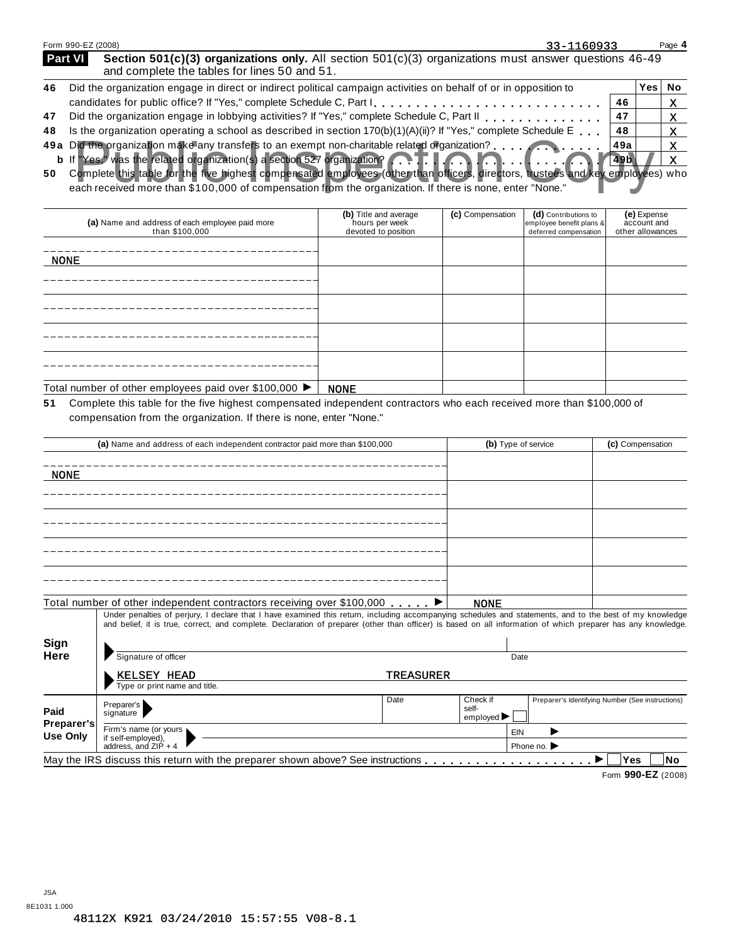|    | Form 990-EZ (2008)<br>33-1160933                                                                                                                                          |      | Page 4 |
|----|---------------------------------------------------------------------------------------------------------------------------------------------------------------------------|------|--------|
|    | <b>Part VI</b><br>Section 501(c)(3) organizations only. All section $501(c)(3)$ organizations must answer questions 46-49<br>and complete the tables for lines 50 and 51. |      |        |
| 46 | Did the organization engage in direct or indirect political campaign activities on behalf of or in opposition to                                                          | Yes. | No     |
|    | 46                                                                                                                                                                        |      | x      |
| 47 | Did the organization engage in lobbying activities? If "Yes," complete Schedule C, Part II<br>47                                                                          |      | х      |
| 48 | Is the organization operating a school as described in section $170(b)(1)(A)(ii)?$ If "Yes," complete Schedule E.<br>48                                                   |      | x      |
|    | 49a Did the organization make any transfers to an exempt non-charitable related organization?<br>49a                                                                      |      | x      |
|    | b If Yes," was the related organization(s) a section 527 organization? <b>FIAM</b>                                                                                        |      |        |

**50 b** Complete this table for the five highest compensated employees (other than officers, directors, trustees and key employees) who X Did the organization make any transfers to an exempt non-charitable related organization?<br>
I Yes," was the related organization(s) a section 527 organization?<br>
Complete this table for the five highest compensatied employee

each received more than \$100,000 of compensation from the organization. If there is none, enter "None."

| (a) Name and address of each employee paid more<br>than \$100,000 | (b) Title and average<br>hours per week<br>devoted to position | (c) Compensation | (d) Contributions to<br>employee benefit plans &<br>deferred compensation | (e) Expense<br>account and<br>other allowances |
|-------------------------------------------------------------------|----------------------------------------------------------------|------------------|---------------------------------------------------------------------------|------------------------------------------------|
| <b>NONE</b>                                                       |                                                                |                  |                                                                           |                                                |
|                                                                   |                                                                |                  |                                                                           |                                                |
|                                                                   |                                                                |                  |                                                                           |                                                |
|                                                                   |                                                                |                  |                                                                           |                                                |
|                                                                   |                                                                |                  |                                                                           |                                                |
| Total number of other employees paid over \$100,000 ▶             | <b>NONE</b>                                                    |                  |                                                                           |                                                |

**51** Complete this table for the five highest compensated independent contractors who each received more than \$100,000 of compensation from the organization. If there is none, enter "None."

|                               | (a) Name and address of each independent contractor paid more than \$100,000                                                                                                                                                                                                                                             |                  |                                                     | (b) Type of service |                                                  | (c) Compensation   |    |
|-------------------------------|--------------------------------------------------------------------------------------------------------------------------------------------------------------------------------------------------------------------------------------------------------------------------------------------------------------------------|------------------|-----------------------------------------------------|---------------------|--------------------------------------------------|--------------------|----|
| <b>NONE</b>                   |                                                                                                                                                                                                                                                                                                                          |                  |                                                     |                     |                                                  |                    |    |
|                               |                                                                                                                                                                                                                                                                                                                          |                  |                                                     |                     |                                                  |                    |    |
|                               |                                                                                                                                                                                                                                                                                                                          |                  |                                                     |                     |                                                  |                    |    |
|                               |                                                                                                                                                                                                                                                                                                                          |                  |                                                     |                     |                                                  |                    |    |
|                               |                                                                                                                                                                                                                                                                                                                          |                  |                                                     |                     |                                                  |                    |    |
|                               | Total number of other independent contractors receiving over \$100,000 $\dots$ .                                                                                                                                                                                                                                         |                  | <b>NONE</b>                                         |                     |                                                  |                    |    |
|                               | Under penalties of perjury, I declare that I have examined this return, including accompanying schedules and statements, and to the best of my knowledge<br>and belief, it is true, correct, and complete. Declaration of preparer (other than officer) is based on all information of which preparer has any knowledge. |                  |                                                     |                     |                                                  |                    |    |
| <b>Sign</b>                   |                                                                                                                                                                                                                                                                                                                          |                  |                                                     |                     |                                                  |                    |    |
| Here                          | Signature of officer                                                                                                                                                                                                                                                                                                     |                  |                                                     | Date                |                                                  |                    |    |
|                               | <b>KELSEY HEAD</b>                                                                                                                                                                                                                                                                                                       | <b>TREASURER</b> |                                                     |                     |                                                  |                    |    |
|                               | Type or print name and title.                                                                                                                                                                                                                                                                                            |                  |                                                     |                     |                                                  |                    |    |
| Paid                          | Preparer's<br>signature                                                                                                                                                                                                                                                                                                  | Date             | Check if<br>self-<br>employed $\blacktriangleright$ |                     | Preparer's Identifying Number (See instructions) |                    |    |
| Preparer's<br><b>Use Only</b> | Firm's name (or yours )<br>if self-employed),                                                                                                                                                                                                                                                                            |                  |                                                     | EIN                 |                                                  |                    |    |
|                               | address, and ZIP + 4                                                                                                                                                                                                                                                                                                     |                  |                                                     |                     | Phone no. $\blacktriangleright$                  |                    |    |
|                               | May the IRS discuss this return with the preparer shown above? See instructions                                                                                                                                                                                                                                          |                  |                                                     |                     |                                                  | <b>Yes</b><br>▸    | No |
|                               |                                                                                                                                                                                                                                                                                                                          |                  |                                                     |                     |                                                  | Form 990-EZ (2008) |    |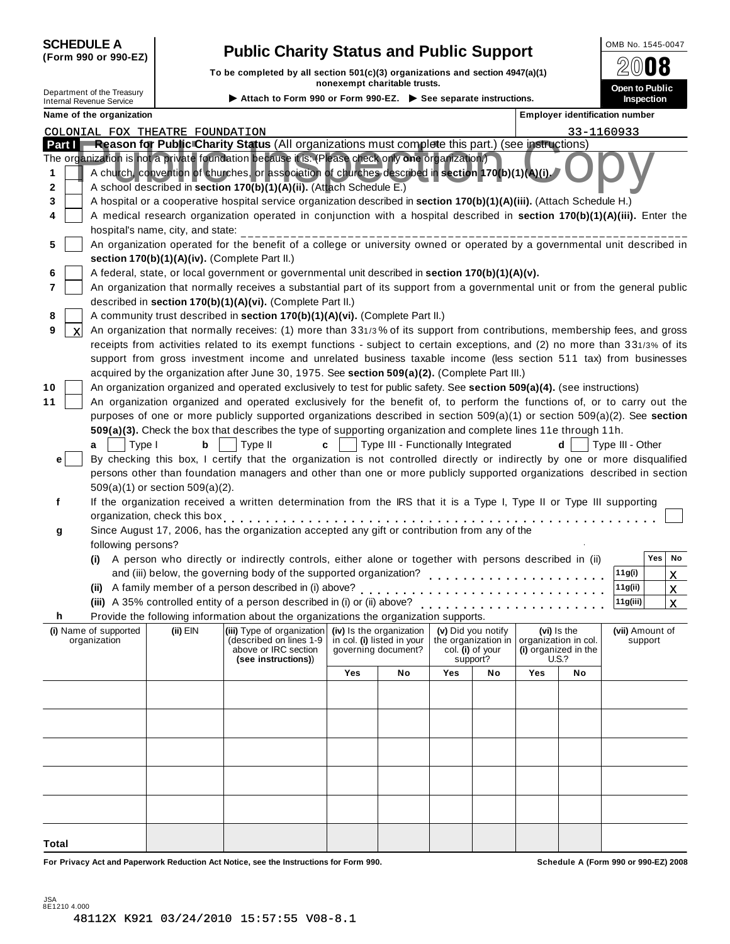| <b>SCHEDULE A</b> |  |                      |
|-------------------|--|----------------------|
|                   |  | (Form 990 or 990-EZ) |

## **Public Charity Status and Public Support** <br>**(Public Support) (Public Support) (Form 990) (Form 990) (Public Support) (Public Support) (Public Support)**

**To be completed by all section 501(c)(3) organizations and section 4947(a)(1) nonexempt charitable trusts. Department of the Treasury**<br>
Internal Revenue Service **Open to Public instructions.** Inspection in the Internal Revenue Service **inspection**<br>
Inspection internal Revenue Service in the Inspection

 $2008$ 

| Attach to Form 990 or Form 990-EZ. $\triangleright$ See sep |  |  |
|-------------------------------------------------------------|--|--|
|-------------------------------------------------------------|--|--|

| Name of the organization                                                                                                                                                                                                                                                                                                                                                                                                 |                                                                                                                                               |     |                                                   |                    |                              |                                                     |                                     | Employer identification number |
|--------------------------------------------------------------------------------------------------------------------------------------------------------------------------------------------------------------------------------------------------------------------------------------------------------------------------------------------------------------------------------------------------------------------------|-----------------------------------------------------------------------------------------------------------------------------------------------|-----|---------------------------------------------------|--------------------|------------------------------|-----------------------------------------------------|-------------------------------------|--------------------------------|
| COLONIAL FOX THEATRE FOUNDATION                                                                                                                                                                                                                                                                                                                                                                                          |                                                                                                                                               |     |                                                   |                    |                              |                                                     |                                     | 33-1160933                     |
| Reason for Public Charity Status (All organizations must complete this part.) (see instructions)<br>Part I                                                                                                                                                                                                                                                                                                               |                                                                                                                                               |     |                                                   |                    |                              |                                                     |                                     |                                |
| The organization is not a private foundation because it is: (Please check only one organization.)<br>A church, convention of churches, or association of churches described in section 170(b)(1)(A)(i).<br>1<br>A school described in section 170(b)(1)(A)(ii). (Attach Schedule E.)<br>2<br>A hospital or a cooperative hospital service organization described in section 170(b)(1)(A)(iii). (Attach Schedule H.)<br>3 |                                                                                                                                               |     |                                                   |                    |                              |                                                     |                                     |                                |
| A medical research organization operated in conjunction with a hospital described in section 170(b)(1)(A)(iii). Enter the<br>4                                                                                                                                                                                                                                                                                           |                                                                                                                                               |     |                                                   |                    |                              |                                                     |                                     |                                |
| hospital's name, city, and state:<br>An organization operated for the benefit of a college or university owned or operated by a governmental unit described in<br>5<br>section 170(b)(1)(A)(iv). (Complete Part II.)                                                                                                                                                                                                     |                                                                                                                                               |     |                                                   |                    |                              |                                                     |                                     |                                |
| A federal, state, or local government or governmental unit described in section 170(b)(1)(A)(v).                                                                                                                                                                                                                                                                                                                         |                                                                                                                                               |     |                                                   |                    |                              |                                                     |                                     |                                |
| An organization that normally receives a substantial part of its support from a governmental unit or from the general public<br>7                                                                                                                                                                                                                                                                                        |                                                                                                                                               |     |                                                   |                    |                              |                                                     |                                     |                                |
| described in section 170(b)(1)(A)(vi). (Complete Part II.)                                                                                                                                                                                                                                                                                                                                                               |                                                                                                                                               |     |                                                   |                    |                              |                                                     |                                     |                                |
| A community trust described in section 170(b)(1)(A)(vi). (Complete Part II.)                                                                                                                                                                                                                                                                                                                                             |                                                                                                                                               |     |                                                   |                    |                              |                                                     |                                     |                                |
| An organization that normally receives: (1) more than 331/3% of its support from contributions, membership fees, and gross<br>9<br>X                                                                                                                                                                                                                                                                                     |                                                                                                                                               |     |                                                   |                    |                              |                                                     |                                     |                                |
| receipts from activities related to its exempt functions - subject to certain exceptions, and (2) no more than 331/3% of its                                                                                                                                                                                                                                                                                             |                                                                                                                                               |     |                                                   |                    |                              |                                                     |                                     |                                |
| support from gross investment income and unrelated business taxable income (less section 511 tax) from businesses                                                                                                                                                                                                                                                                                                        |                                                                                                                                               |     |                                                   |                    |                              |                                                     |                                     |                                |
| acquired by the organization after June 30, 1975. See section 509(a)(2). (Complete Part III.)                                                                                                                                                                                                                                                                                                                            |                                                                                                                                               |     |                                                   |                    |                              |                                                     |                                     |                                |
| An organization organized and operated exclusively to test for public safety. See section 509(a)(4). (see instructions)<br>10                                                                                                                                                                                                                                                                                            |                                                                                                                                               |     |                                                   |                    |                              |                                                     |                                     |                                |
| An organization organized and operated exclusively for the benefit of, to perform the functions of, or to carry out the<br>11                                                                                                                                                                                                                                                                                            |                                                                                                                                               |     |                                                   |                    |                              |                                                     |                                     |                                |
| purposes of one or more publicly supported organizations described in section 509(a)(1) or section 509(a)(2). See section                                                                                                                                                                                                                                                                                                |                                                                                                                                               |     |                                                   |                    |                              |                                                     |                                     |                                |
| 509(a)(3). Check the box that describes the type of supporting organization and complete lines 11e through 11h.<br>b                                                                                                                                                                                                                                                                                                     | Type II<br>c                                                                                                                                  |     | Type III - Functionally Integrated                |                    |                              |                                                     | d                                   | Type III - Other               |
| Type I<br>a<br>By checking this box, I certify that the organization is not controlled directly or indirectly by one or more disqualified<br>e <sub>1</sub>                                                                                                                                                                                                                                                              |                                                                                                                                               |     |                                                   |                    |                              |                                                     |                                     |                                |
| persons other than foundation managers and other than one or more publicly supported organizations described in section                                                                                                                                                                                                                                                                                                  |                                                                                                                                               |     |                                                   |                    |                              |                                                     |                                     |                                |
| $509(a)(1)$ or section $509(a)(2)$ .                                                                                                                                                                                                                                                                                                                                                                                     |                                                                                                                                               |     |                                                   |                    |                              |                                                     |                                     |                                |
| If the organization received a written determination from the IRS that it is a Type I, Type II or Type III supporting<br>f                                                                                                                                                                                                                                                                                               |                                                                                                                                               |     |                                                   |                    |                              |                                                     |                                     |                                |
| organization, check this box entitled as a set of the set of the set of the set of the set of the set of the s                                                                                                                                                                                                                                                                                                           |                                                                                                                                               |     |                                                   |                    |                              |                                                     |                                     |                                |
| Since August 17, 2006, has the organization accepted any gift or contribution from any of the<br>g                                                                                                                                                                                                                                                                                                                       |                                                                                                                                               |     |                                                   |                    |                              |                                                     |                                     |                                |
| following persons?                                                                                                                                                                                                                                                                                                                                                                                                       |                                                                                                                                               |     |                                                   |                    |                              |                                                     |                                     |                                |
| (i) A person who directly or indirectly controls, either alone or together with persons described in (ii)                                                                                                                                                                                                                                                                                                                |                                                                                                                                               |     |                                                   |                    |                              |                                                     |                                     | Yes<br>No                      |
| and (iii) below, the governing body of the supported organization?                                                                                                                                                                                                                                                                                                                                                       |                                                                                                                                               |     |                                                   |                    |                              |                                                     |                                     | 11g(i)<br>$\mathbf{x}$         |
| (ii) A family member of a person described in (i) above?                                                                                                                                                                                                                                                                                                                                                                 |                                                                                                                                               |     |                                                   |                    |                              |                                                     |                                     | 11g(ii)<br>$\mathbf{x}$        |
| (iii) A 35% controlled entity of a person described in (i) or (ii) above?                                                                                                                                                                                                                                                                                                                                                |                                                                                                                                               |     |                                                   |                    | .                            |                                                     |                                     | 11g(iii)<br>$\mathbf{x}$       |
| Provide the following information about the organizations the organization supports.<br>h                                                                                                                                                                                                                                                                                                                                |                                                                                                                                               |     |                                                   |                    |                              |                                                     |                                     |                                |
| (ii) $EIN$<br>(i) Name of supported<br>organization                                                                                                                                                                                                                                                                                                                                                                      | $\vert$ (iii) Type of organization $\vert$ (iv) Is the organization<br>(described on lines 1-9<br>above or IRC section<br>(see instructions)) |     | in col. (i) listed in your<br>governing document? | (v) Did you notify | col. (i) of your<br>support? | the organization in   organization in col.<br>U.S.? | (vi) Is the<br>(i) organized in the | (vii) Amount of<br>support     |
|                                                                                                                                                                                                                                                                                                                                                                                                                          |                                                                                                                                               | Yes | No                                                | Yes                | No                           | Yes                                                 | No                                  |                                |
|                                                                                                                                                                                                                                                                                                                                                                                                                          |                                                                                                                                               |     |                                                   |                    |                              |                                                     |                                     |                                |
|                                                                                                                                                                                                                                                                                                                                                                                                                          |                                                                                                                                               |     |                                                   |                    |                              |                                                     |                                     |                                |
|                                                                                                                                                                                                                                                                                                                                                                                                                          |                                                                                                                                               |     |                                                   |                    |                              |                                                     |                                     |                                |
|                                                                                                                                                                                                                                                                                                                                                                                                                          |                                                                                                                                               |     |                                                   |                    |                              |                                                     |                                     |                                |
|                                                                                                                                                                                                                                                                                                                                                                                                                          |                                                                                                                                               |     |                                                   |                    |                              |                                                     |                                     |                                |
|                                                                                                                                                                                                                                                                                                                                                                                                                          |                                                                                                                                               |     |                                                   |                    |                              |                                                     |                                     |                                |
|                                                                                                                                                                                                                                                                                                                                                                                                                          |                                                                                                                                               |     |                                                   |                    |                              |                                                     |                                     |                                |
|                                                                                                                                                                                                                                                                                                                                                                                                                          |                                                                                                                                               |     |                                                   |                    |                              |                                                     |                                     |                                |
|                                                                                                                                                                                                                                                                                                                                                                                                                          |                                                                                                                                               |     |                                                   |                    |                              |                                                     |                                     |                                |
|                                                                                                                                                                                                                                                                                                                                                                                                                          |                                                                                                                                               |     |                                                   |                    |                              |                                                     |                                     |                                |

**For Privacy Act and Paperwork Reduction Act Notice, see the Instructions for Form 990. Schedule A (Form 990 or 990-EZ) 2008**

**Total**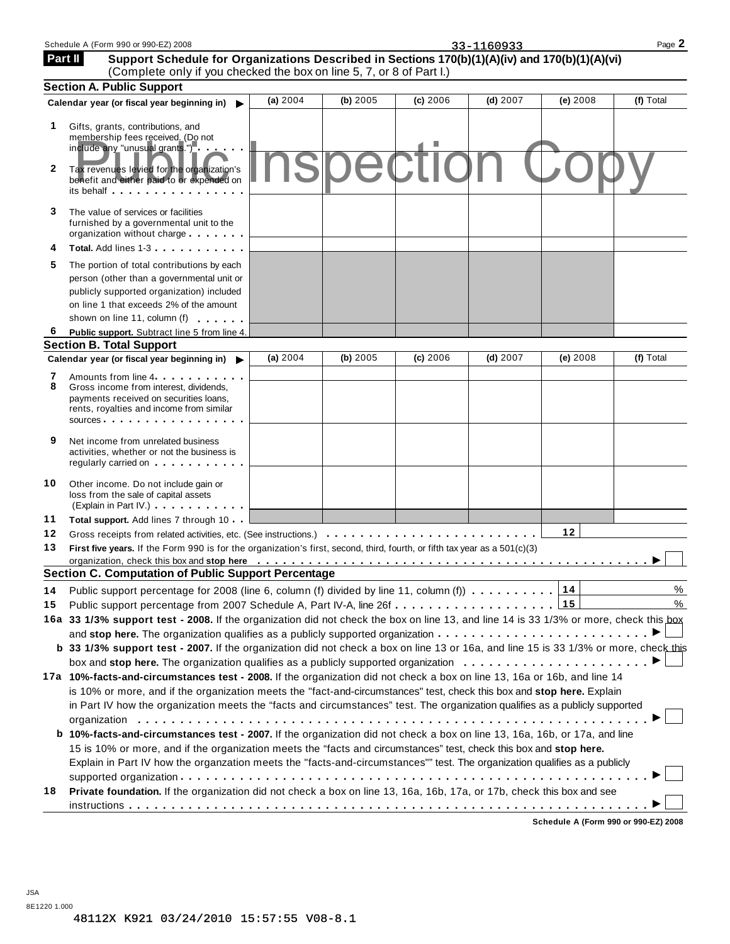| Part II           | Support Schedule for Organizations Described in Sections 170(b)(1)(A)(iv) and 170(b)(1)(A)(vi)<br>(Complete only if you checked the box on line 5, 7, or 8 of Part I.)                                                        |            |          |                 |            |          |           |
|-------------------|-------------------------------------------------------------------------------------------------------------------------------------------------------------------------------------------------------------------------------|------------|----------|-----------------|------------|----------|-----------|
|                   | <b>Section A. Public Support</b>                                                                                                                                                                                              |            |          |                 |            |          |           |
|                   | Calendar year (or fiscal year beginning in)                                                                                                                                                                                   | (a) 2004   | (b) 2005 | (c) 2006        | $(d)$ 2007 | (e) 2008 | (f) Total |
| 1<br>$\mathbf{2}$ | Gifts, grants, contributions, and<br>membership fees received. (Do not<br>include any "unusual grants.")                                                                                                                      |            |          | <b>Spection</b> |            |          |           |
|                   | Tax revenues levied for the organization's<br>benefit and either paid to or expended on<br>its behalf expression and the set of the set of the set of the set of the set of the set of the set of the set                     |            |          |                 |            |          |           |
| 3                 | The value of services or facilities<br>furnished by a governmental unit to the<br>organization without charge                                                                                                                 |            |          |                 |            |          |           |
| 4                 | Total. Add lines 1-3                                                                                                                                                                                                          |            |          |                 |            |          |           |
| 5                 | The portion of total contributions by each                                                                                                                                                                                    |            |          |                 |            |          |           |
|                   | person (other than a governmental unit or                                                                                                                                                                                     |            |          |                 |            |          |           |
|                   | publicly supported organization) included                                                                                                                                                                                     |            |          |                 |            |          |           |
|                   | on line 1 that exceeds 2% of the amount                                                                                                                                                                                       |            |          |                 |            |          |           |
|                   | shown on line 11, column (f)                                                                                                                                                                                                  |            |          |                 |            |          |           |
| 6                 | Public support. Subtract line 5 from line 4.                                                                                                                                                                                  |            |          |                 |            |          |           |
|                   | <b>Section B. Total Support</b>                                                                                                                                                                                               |            |          |                 |            |          |           |
|                   | Calendar year (or fiscal year beginning in)                                                                                                                                                                                   | (a) $2004$ | (b) 2005 | (c) 2006        | $(d)$ 2007 | (e) 2008 | (f) Total |
| 7                 | Amounts from line 4                                                                                                                                                                                                           |            |          |                 |            |          |           |
| 8                 | Gross income from interest, dividends.<br>payments received on securities loans,                                                                                                                                              |            |          |                 |            |          |           |
|                   | rents, royalties and income from similar                                                                                                                                                                                      |            |          |                 |            |          |           |
|                   | sources <b>contracts</b>                                                                                                                                                                                                      |            |          |                 |            |          |           |
| 9                 | Net income from unrelated business<br>activities, whether or not the business is<br>regularly carried on the control of the control of the control of the control of the control of the control of                            |            |          |                 |            |          |           |
| 10                | Other income. Do not include gain or<br>loss from the sale of capital assets<br>(Explain in Part IV.) <b>CONTEXA</b>                                                                                                          |            |          |                 |            |          |           |
| 11                | Total support. Add lines 7 through 10                                                                                                                                                                                         |            |          |                 |            |          |           |
| 12                | Gross receipts from related activities, etc. (See instructions.)                                                                                                                                                              |            |          |                 |            | 12       |           |
| 13                | First five years. If the Form 990 is for the organization's first, second, third, fourth, or fifth tax year as a 501(c)(3)                                                                                                    |            |          |                 |            |          |           |
|                   | organization, check this box and stop here (exception of exception of the content of the content of the content of the content of the content of the content of the content of the content of the content of the content of t |            |          |                 |            |          |           |
|                   | <b>Section C. Computation of Public Support Percentage</b>                                                                                                                                                                    |            |          |                 |            |          |           |
| 14                | Public support percentage for 2008 (line 6, column (f) divided by line 11, column (f)) $\ldots \ldots \ldots \frac{114}{14}$                                                                                                  |            |          |                 |            |          | $\%$      |
| 15                | Public support percentage from 2007 Schedule A, Part IV-A, line 26f 15                                                                                                                                                        |            |          |                 |            |          | %         |
|                   | 16a 33 1/3% support test - 2008. If the organization did not check the box on line 13, and line 14 is 33 1/3% or more, check this box                                                                                         |            |          |                 |            |          |           |
|                   | and stop here. The organization qualifies as a publicly supported organization $\ldots \ldots \ldots \ldots \ldots \ldots \ldots$                                                                                             |            |          |                 |            |          |           |
|                   | b 33 1/3% support test - 2007. If the organization did not check a box on line 13 or 16a, and line 15 is 33 1/3% or more, check this                                                                                          |            |          |                 |            |          |           |
|                   | box and stop here. The organization qualifies as a publicly supported organization $\ldots \ldots \ldots \ldots \ldots \ldots$                                                                                                |            |          |                 |            |          |           |
|                   | 17a 10%-facts-and-circumstances test - 2008. If the organization did not check a box on line 13, 16a or 16b, and line 14                                                                                                      |            |          |                 |            |          |           |
|                   | is 10% or more, and if the organization meets the "fact-and-circumstances" test, check this box and stop here. Explain                                                                                                        |            |          |                 |            |          |           |
|                   | in Part IV how the organization meets the "facts and circumstances" test. The organization qualifies as a publicly supported                                                                                                  |            |          |                 |            |          |           |
|                   |                                                                                                                                                                                                                               |            |          |                 |            |          |           |
|                   | b 10%-facts-and-circumstances test - 2007. If the organization did not check a box on line 13, 16a, 16b, or 17a, and line                                                                                                     |            |          |                 |            |          |           |
|                   | 15 is 10% or more, and if the organization meets the "facts and circumstances" test, check this box and stop here.                                                                                                            |            |          |                 |            |          |           |
|                   | Explain in Part IV how the organzation meets the "facts-and-circumstances"" test. The organization qualifies as a publicly                                                                                                    |            |          |                 |            |          |           |
|                   |                                                                                                                                                                                                                               |            |          |                 |            |          |           |
| 18                | Private foundation. If the organization did not check a box on line 13, 16a, 16b, 17a, or 17b, check this box and see                                                                                                         |            |          |                 |            |          |           |
|                   |                                                                                                                                                                                                                               |            |          |                 |            |          |           |

**Schedule A (Form 990 or 990-EZ) 2008**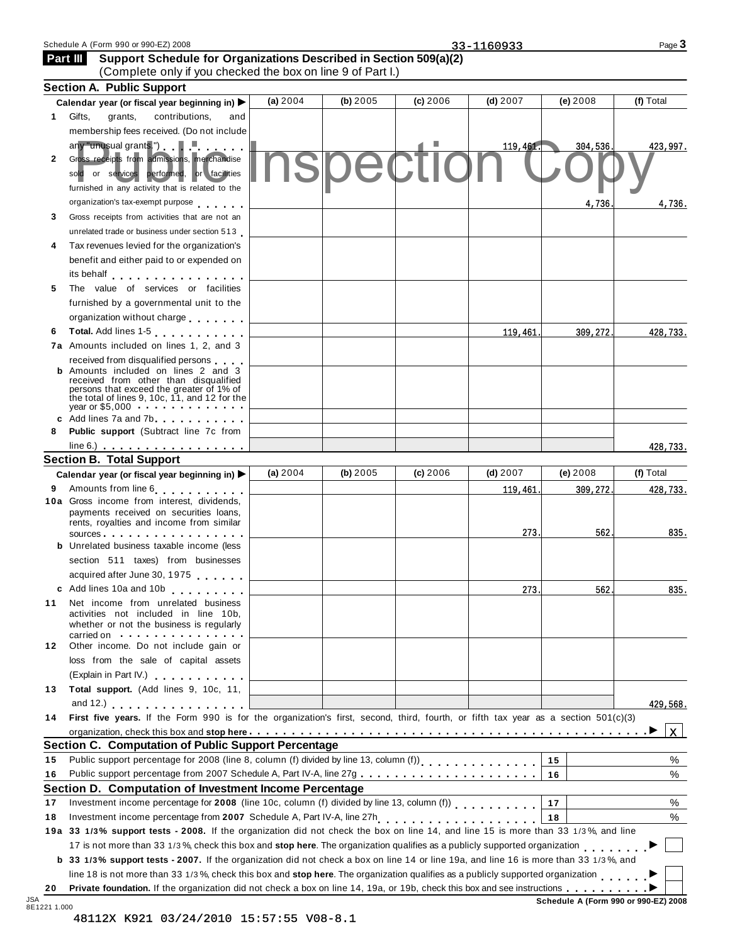| $(2)$ 2008<br>$-$<br>Schedule<br>. റററ<br>$\Omega$<br>'Form<br>- 990-<br>$\sim$ | -<br>--<br>. | ∩מ∩<br>auc , |
|---------------------------------------------------------------------------------|--------------|--------------|
|                                                                                 |              |              |

 **Part III** 

|              | (Complete only if you checked the box on line 9 of Part I.)                                                                                                                                                                   |            |          |          |            |    |          |                                      |
|--------------|-------------------------------------------------------------------------------------------------------------------------------------------------------------------------------------------------------------------------------|------------|----------|----------|------------|----|----------|--------------------------------------|
|              | <b>Section A. Public Support</b>                                                                                                                                                                                              |            |          |          |            |    |          |                                      |
|              | Calendar year (or fiscal year beginning in) $\blacktriangleright$                                                                                                                                                             | (a) 2004   | (b) 2005 | (c) 2006 | $(d)$ 2007 |    | (e) 2008 | (f) Total                            |
| $\mathbf 1$  | Gifts,<br>grants,<br>contributions,<br>and                                                                                                                                                                                    |            |          |          |            |    |          |                                      |
|              | membership fees received. (Do not include                                                                                                                                                                                     |            |          |          |            |    |          |                                      |
|              | $\frac{1}{2}$ any "unusual grants.") $\blacksquare$                                                                                                                                                                           |            |          |          | 119,461.   |    | 304,536. | 423,997.                             |
| $\mathbf{2}$ | Gross receipts from admissions, merchandise                                                                                                                                                                                   |            |          |          |            |    |          |                                      |
|              | sold or services performed, or facilities                                                                                                                                                                                     |            |          |          |            |    |          |                                      |
|              | furnished in any activity that is related to the                                                                                                                                                                              |            |          |          |            |    |          |                                      |
|              | organization's tax-exempt purpose                                                                                                                                                                                             |            |          |          |            |    | 4,736    | 4,736.                               |
| 3            | Gross receipts from activities that are not an                                                                                                                                                                                |            |          |          |            |    |          |                                      |
|              | unrelated trade or business under section 513                                                                                                                                                                                 |            |          |          |            |    |          |                                      |
| 4            | Tax revenues levied for the organization's                                                                                                                                                                                    |            |          |          |            |    |          |                                      |
|              | benefit and either paid to or expended on                                                                                                                                                                                     |            |          |          |            |    |          |                                      |
|              | its behalf entertainment and the set of the set of the set of the set of the set of the set of the set of the                                                                                                                 |            |          |          |            |    |          |                                      |
| 5            | The value of services or facilities                                                                                                                                                                                           |            |          |          |            |    |          |                                      |
|              | furnished by a governmental unit to the                                                                                                                                                                                       |            |          |          |            |    |          |                                      |
|              | organization without charge                                                                                                                                                                                                   |            |          |          |            |    |          |                                      |
| 6            | Total. Add lines 1-5 [10] No. 1                                                                                                                                                                                               |            |          |          | 119,461    |    | 309,272. | 428,733.                             |
|              | 7a Amounts included on lines 1, 2, and 3                                                                                                                                                                                      |            |          |          |            |    |          |                                      |
|              | received from disqualified persons                                                                                                                                                                                            |            |          |          |            |    |          |                                      |
|              | <b>b</b> Amounts included on lines 2 and 3<br>received from other than disqualified                                                                                                                                           |            |          |          |            |    |          |                                      |
|              | persons that exceed the greater of 1% of                                                                                                                                                                                      |            |          |          |            |    |          |                                      |
|              | the total of lines 9, 10c, 11, and 12 for the<br>vear or \$5,000                                                                                                                                                              |            |          |          |            |    |          |                                      |
|              | c Add lines 7a and 7b                                                                                                                                                                                                         |            |          |          |            |    |          |                                      |
| 8            | Public support (Subtract line 7c from                                                                                                                                                                                         |            |          |          |            |    |          |                                      |
|              |                                                                                                                                                                                                                               |            |          |          |            |    |          | 428,733.                             |
|              | <b>Section B. Total Support</b>                                                                                                                                                                                               |            |          |          |            |    |          |                                      |
|              | Calendar year (or fiscal year beginning in) $\blacktriangleright$                                                                                                                                                             | (a) $2004$ | (b) 2005 | (c) 2006 | $(d)$ 2007 |    | (e) 2008 | (f) Total                            |
| 9            | Amounts from line 6                                                                                                                                                                                                           |            |          |          | 119,461    |    | 309,272. | 428,733.                             |
|              | 10a Gross income from interest, dividends,<br>payments received on securities loans,                                                                                                                                          |            |          |          |            |    |          |                                      |
|              | rents, royalties and income from similar                                                                                                                                                                                      |            |          |          |            |    |          |                                      |
|              | sources experiences and the set of the set of the set of the set of the set of the set of the set of the set of the set of the set of the set of the set of the set of the set of the set of the set of the set of the set of |            |          |          | 273        |    | 562      | 835.                                 |
|              | <b>b</b> Unrelated business taxable income (less                                                                                                                                                                              |            |          |          |            |    |          |                                      |
|              | section 511 taxes) from businesses                                                                                                                                                                                            |            |          |          |            |    |          |                                      |
|              | acquired after June 30, 1975                                                                                                                                                                                                  |            |          |          |            |    |          |                                      |
|              | c Add lines 10a and 10b                                                                                                                                                                                                       |            |          |          | 273        |    | 562      | 835.                                 |
| 11           | Net income from unrelated business                                                                                                                                                                                            |            |          |          |            |    |          |                                      |
|              | activities not included in line 10b,<br>whether or not the business is regularly                                                                                                                                              |            |          |          |            |    |          |                                      |
|              | carried on experience and the carried on                                                                                                                                                                                      |            |          |          |            |    |          |                                      |
| 12           | Other income. Do not include gain or                                                                                                                                                                                          |            |          |          |            |    |          |                                      |
|              | loss from the sale of capital assets                                                                                                                                                                                          |            |          |          |            |    |          |                                      |
|              | (Explain in Part IV.)                                                                                                                                                                                                         |            |          |          |            |    |          |                                      |
| 13           | Total support. (Add lines 9, 10c, 11,                                                                                                                                                                                         |            |          |          |            |    |          |                                      |
|              | and 12.) $\cdots$ $\cdots$ $\cdots$ $\cdots$                                                                                                                                                                                  |            |          |          |            |    |          | 429,568.                             |
| 14           | First five years. If the Form 990 is for the organization's first, second, third, fourth, or fifth tax year as a section 501(c)(3)                                                                                            |            |          |          |            |    |          |                                      |
|              |                                                                                                                                                                                                                               |            |          |          |            |    |          | $\mathbf x$                          |
|              | <b>Section C. Computation of Public Support Percentage</b>                                                                                                                                                                    |            |          |          |            |    |          |                                      |
| 15           |                                                                                                                                                                                                                               |            |          |          |            | 15 |          | %                                    |
| 16           |                                                                                                                                                                                                                               |            |          |          |            | 16 |          | %                                    |
|              | Section D. Computation of Investment Income Percentage                                                                                                                                                                        |            |          |          |            |    |          |                                      |
| 17           | Investment income percentage for 2008 (line 10c, column (f) divided by line 13, column (f))                                                                                                                                   |            |          |          |            | 17 |          | %                                    |
| 18           |                                                                                                                                                                                                                               |            |          |          |            | 18 |          | %                                    |
|              | 19a 33 1/3% support tests - 2008. If the organization did not check the box on line 14, and line 15 is more than 33 1/3%, and line                                                                                            |            |          |          |            |    |          |                                      |
|              | 17 is not more than 33 1/3%, check this box and stop here. The organization qualifies as a publicly supported organization                                                                                                    |            |          |          |            |    |          |                                      |
|              | b 33 1/3% support tests - 2007. If the organization did not check a box on line 14 or line 19a, and line 16 is more than 33 1/3%, and                                                                                         |            |          |          |            |    |          |                                      |
|              | line 18 is not more than 33 1/3%, check this box and stop here. The organization qualifies as a publicly supported organization                                                                                               |            |          |          |            |    |          |                                      |
| 20           |                                                                                                                                                                                                                               |            |          |          |            |    |          |                                      |
| 8E1221 1.000 |                                                                                                                                                                                                                               |            |          |          |            |    |          | Schedule A (Form 990 or 990-EZ) 2008 |

**Support Schedule for Organizations Described in Section 509(a)(2)**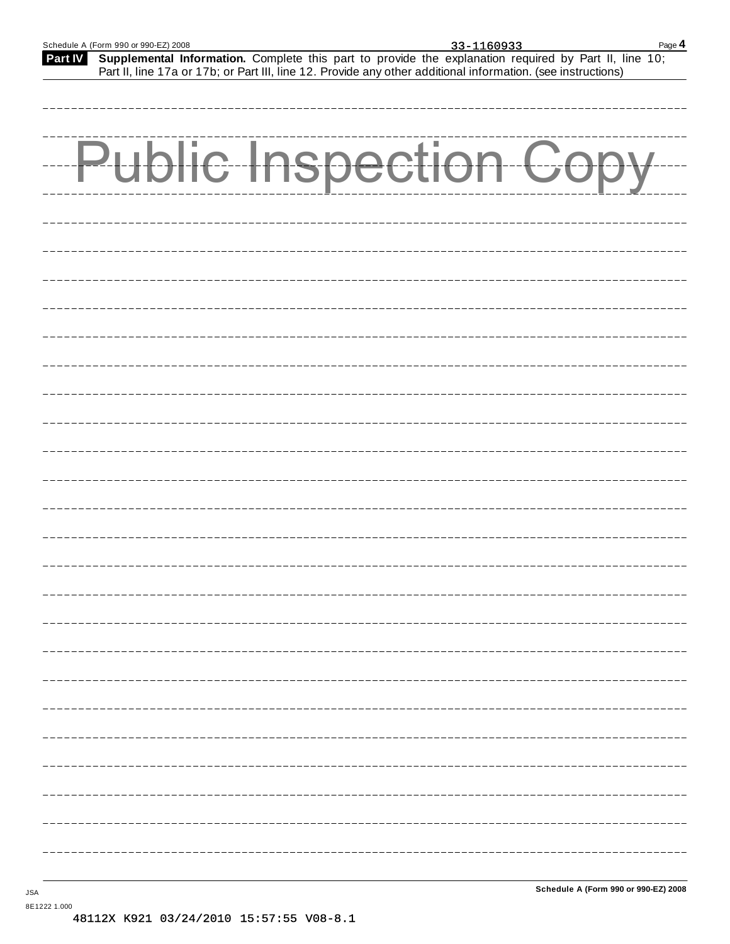**Part IV** Supplemental Information. Complete this part to provide the explanation required by Part II, line 10; Part II, line 17a or 17b; or Part III, line 12. Provide any other additional information. (see instructions)

| <b>Public Inspection Copy</b> |
|-------------------------------|
|                               |
|                               |
|                               |
|                               |
|                               |
|                               |
|                               |
|                               |
|                               |
|                               |
|                               |
|                               |

8E1222 1.000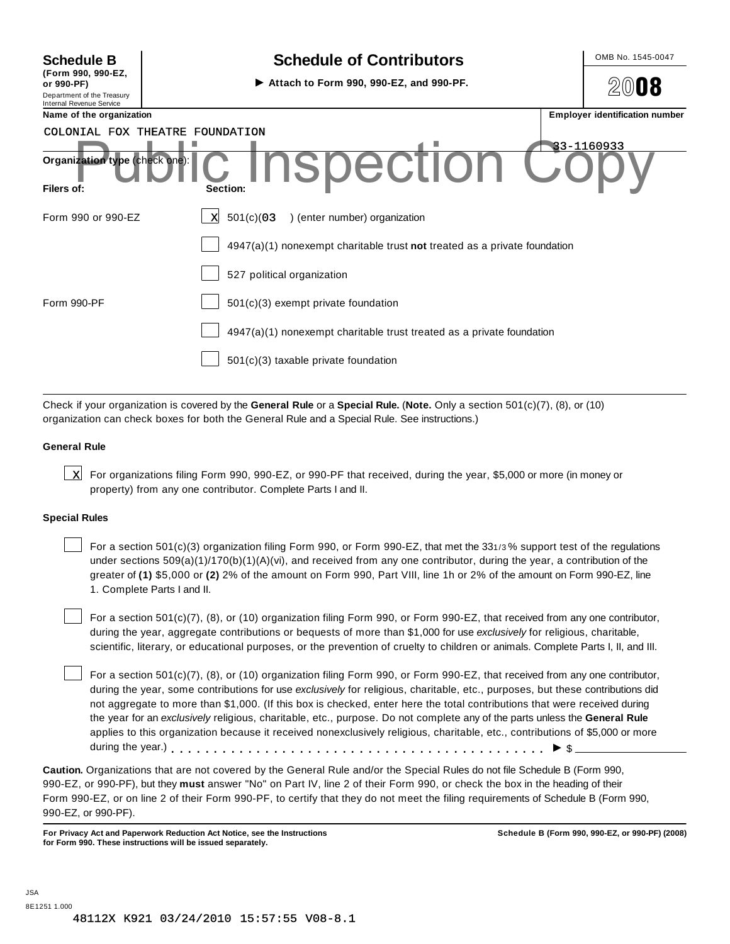| <b>Schedule B</b><br>(Form 990, 990-EZ,<br>or 990-PF)  |  |
|--------------------------------------------------------|--|
| Department of the Treasury<br>Internal Revenue Service |  |

#### **Schedule of Contributors**  $\vert$  OMB No. 1545-0047

 $\triangleright$  Attach to Form 990, 990-EZ, and 990-PF.  $\bigotimes$ 



| Name of the organization                     |                                                                             | <b>Employer identification number</b> |
|----------------------------------------------|-----------------------------------------------------------------------------|---------------------------------------|
| COLONIAL FOX THEATRE FOUNDATION              |                                                                             |                                       |
| Organization type (check one):<br>Filers of: | <b>C. INSPECTION CO</b><br>Section:                                         | 83-1160933                            |
| Form 990 or 990-EZ                           | 501(c)(03)<br>) (enter number) organization<br>X                            |                                       |
|                                              | $4947(a)(1)$ nonexempt charitable trust not treated as a private foundation |                                       |
|                                              | 527 political organization                                                  |                                       |
| Form 990-PF                                  | $501(c)(3)$ exempt private foundation                                       |                                       |
|                                              | $4947(a)(1)$ nonexempt charitable trust treated as a private foundation     |                                       |
|                                              | $501(c)(3)$ taxable private foundation                                      |                                       |
|                                              |                                                                             |                                       |

Check if your organization is covered by the **General Rule** or a **Special Rule.** (**Note.** Only a section 501(c)(7), (8), or (10) organization can check boxes for both the General Rule and a Special Rule. See instructions.)

#### **General Rule**

 $\underline{\mathbf{x}}$  For organizations filing Form 990, 990-EZ, or 990-PF that received, during the year, \$5,000 or more (in money or property) from any one contributor. Complete Parts I and II.

#### **Special Rules**

For a section 501(c)(3) organization filing Form 990, or Form 990-EZ, that met the 331/3% support test of the regulations under sections 509(a)(1)/170(b)(1)(A)(vi), and received from any one contributor, during the year, a contribution of the greater of **(1)** \$5,000 or **(2)** 2% of the amount on Form 990, Part VIII, line 1h or 2% of the amount on Form 990-EZ, line 1. Complete Parts I and II.

For a section 501(c)(7), (8), or (10) organization filing Form 990, or Form 990-EZ, that received from any one contributor, during the year, aggregate contributions or bequests of more than \$1,000 for use *exclusively* for religious, charitable, scientific, literary, or educational purposes, or the prevention of cruelty to children or animals. Complete Parts I, II, and III.

For a section 501(c)(7), (8), or (10) organization filing Form 990, or Form 990-EZ, that received from any one contributor, during the year, some contributions for use *exclusively* for religious, charitable, etc., purposes, but these contributions did not aggregate to more than \$1,000. (If this box is checked, enter here the total contributions that were received during the year for an *exclusively* religious, charitable, etc., purpose. Do not complete any of the parts unless the **General Rule** applies to this organization because it received nonexclusively religious, charitable, etc., contributions of \$5,000 or more during the year.) mmmmmmmmmmmmmmmmmmmmmmmmmmmmmmmmmmmmmmmmmmmm I \$

**Caution.** Organizations that are not covered by the General Rule and/or the Special Rules do not file Schedule B (Form 990, 990-EZ, or 990-PF), but they **must** answer "No" on Part IV, line 2 of their Form 990, or check the box in the heading of their Form 990-EZ, or on line 2 of their Form 990-PF, to certify that they do not meet the filing requirements of Schedule B (Form 990, 990-EZ, or 990-PF).

**For Privacy Act and Paperwork Reduction Act Notice, see the Instructions for Form 990. These instructions will be issued separately.**

**Schedule B (Form 990, 990-EZ, or 990-PF) (2008)**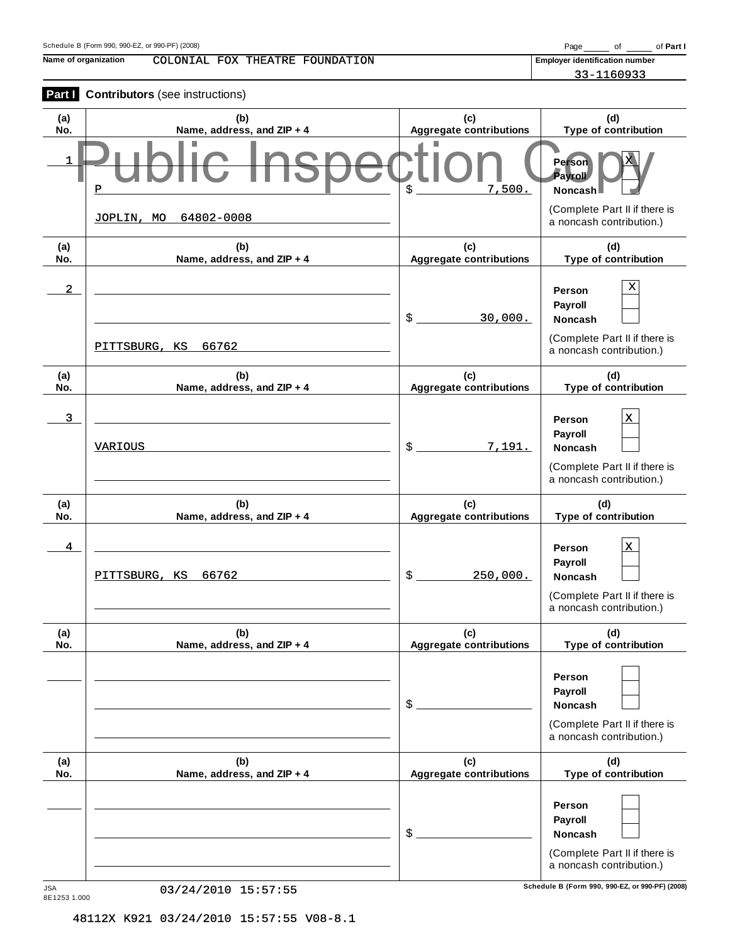**Name of organization Employer identification number** COLONIAL FOX THEATRE FOUNDATION

33-1160933

| Part I                  | <b>Contributors</b> (see instructions) |                                       |                                                                                                                 |
|-------------------------|----------------------------------------|---------------------------------------|-----------------------------------------------------------------------------------------------------------------|
| (a)<br>No.              | (b)<br>Name, address, and ZIP + 4      | (c)<br><b>Aggregate contributions</b> | (d)<br>Type of contribution                                                                                     |
| 1                       | Р                                      | 7,500.<br>\$                          | <b>Person</b><br>Payroll<br>Noncash                                                                             |
|                         | 64802-0008<br>JOPLIN, MO               |                                       | (Complete Part II if there is<br>a noncash contribution.)                                                       |
| (a)<br>No.              | (b)<br>Name, address, and ZIP + 4      | (c)<br><b>Aggregate contributions</b> | (d)<br>Type of contribution                                                                                     |
| $\overline{\mathbf{2}}$ | 66762<br>PITTSBURG, KS                 | \$<br>30,000.                         | х<br>Person<br>Payroll<br><b>Noncash</b><br>(Complete Part II if there is<br>a noncash contribution.)           |
| (a)<br>No.              | (b)<br>Name, address, and ZIP + 4      | (c)<br><b>Aggregate contributions</b> | (d)<br>Type of contribution                                                                                     |
| 3                       | <b>VARIOUS</b>                         | \$<br>7,191.                          | $\mathbf x$<br>Person<br>Payroll<br><b>Noncash</b><br>(Complete Part II if there is<br>a noncash contribution.) |
| (a)<br>No.              | (b)<br>Name, address, and ZIP + 4      | (c)<br><b>Aggregate contributions</b> | (d)<br>Type of contribution                                                                                     |
| 4                       | 66762<br>PITTSBURG, KS                 | \$<br>250,000.                        | $\mathbf x$<br>Person<br>Payroll<br><b>Noncash</b><br>(Complete Part II if there is<br>a noncash contribution.) |
| (a)<br>No.              | (b)<br>Name, address, and ZIP + 4      | (c)<br><b>Aggregate contributions</b> | (d)<br>Type of contribution                                                                                     |
|                         |                                        | \$                                    | Person<br>Payroll<br><b>Noncash</b><br>(Complete Part II if there is<br>a noncash contribution.)                |
| (a)<br>No.              | (b)<br>Name, address, and ZIP + 4      | (c)<br><b>Aggregate contributions</b> | (d)<br>Type of contribution                                                                                     |
|                         |                                        | \$                                    | Person<br>Payroll<br><b>Noncash</b><br>(Complete Part II if there is                                            |
| <b>JSA</b>              | 03/24/2010 15:57:55                    |                                       | a noncash contribution.)<br>Schedule B (Form 990, 990-EZ, or 990-PF) (2008)                                     |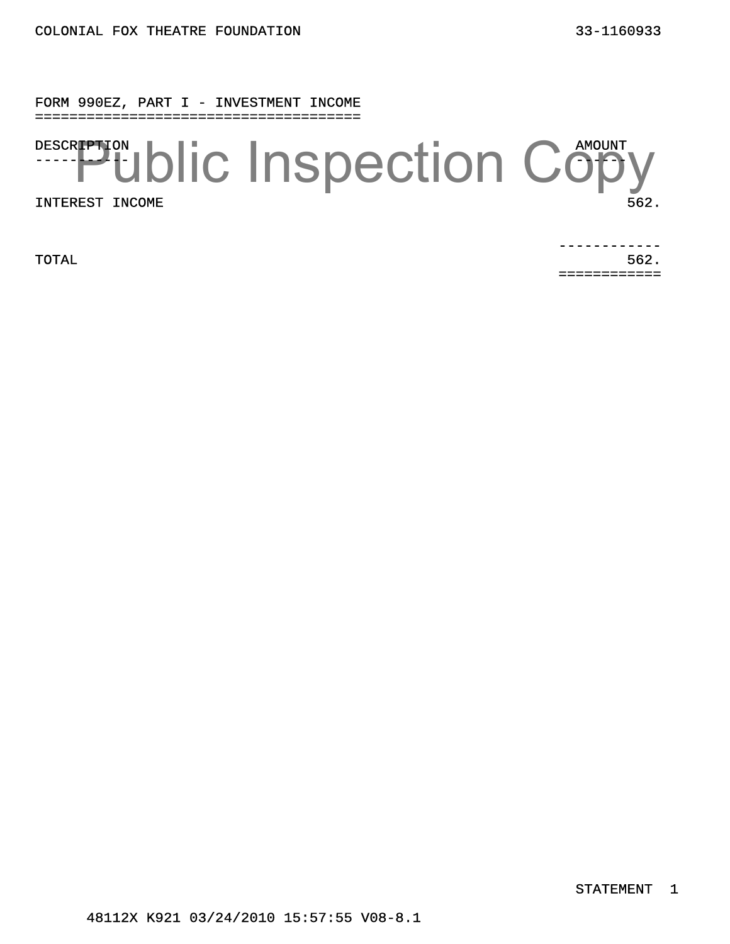FORM 990EZ, PART I - INVESTMENT INCOME ======================================

DESCR**IPTI**ON -----<mark>---</mark>\*†-AMOUNT  $\neg$   $\neg$ INTEREST INCOME 562. **Public Inspection Copy** 

 $\blacksquare$  TOTAL  $\blacksquare$  562. ------------ ============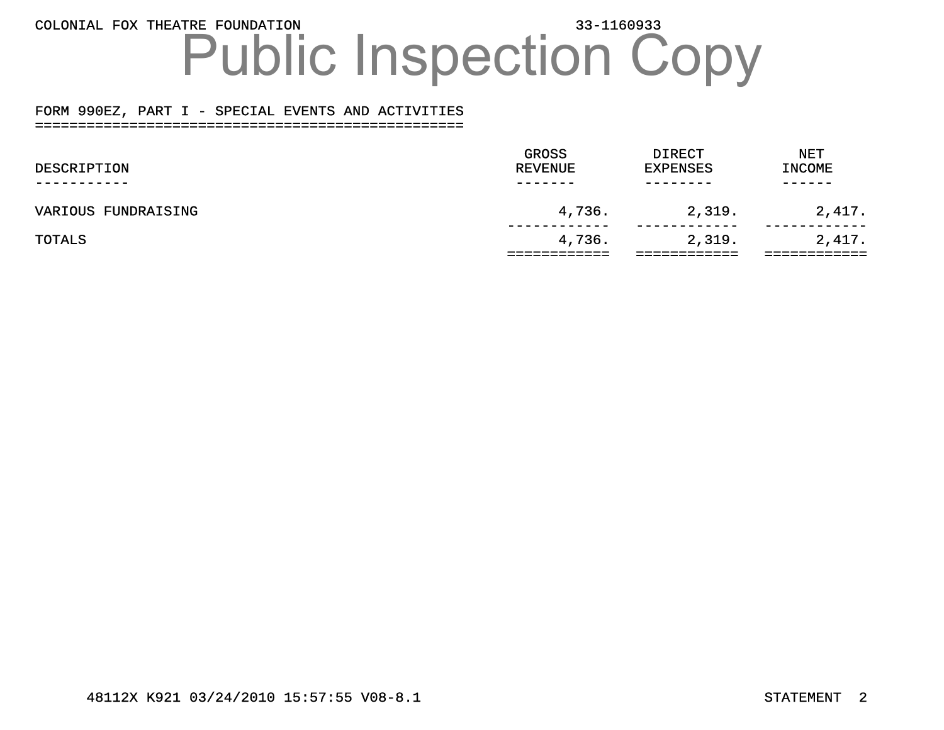### COLONIAL FOX THEATRE FOUNDATION 33-1160933 Public Inspection Copy

#### FORM 990EZ, PART I - SPECIAL EVENTS AND ACTIVITIES ==================================================

|                     | GROSS          | <b>DIRECT</b>   | <b>NET</b>    |  |
|---------------------|----------------|-----------------|---------------|--|
| DESCRIPTION         | <b>REVENUE</b> | <b>EXPENSES</b> | <b>INCOME</b> |  |
|                     |                |                 |               |  |
| VARIOUS FUNDRAISING | 4,736.         | 2,319.          | 2,417.        |  |
|                     |                |                 |               |  |
| TOTALS              | 4,736.         | 2,319.          | 2,417.        |  |
|                     |                |                 |               |  |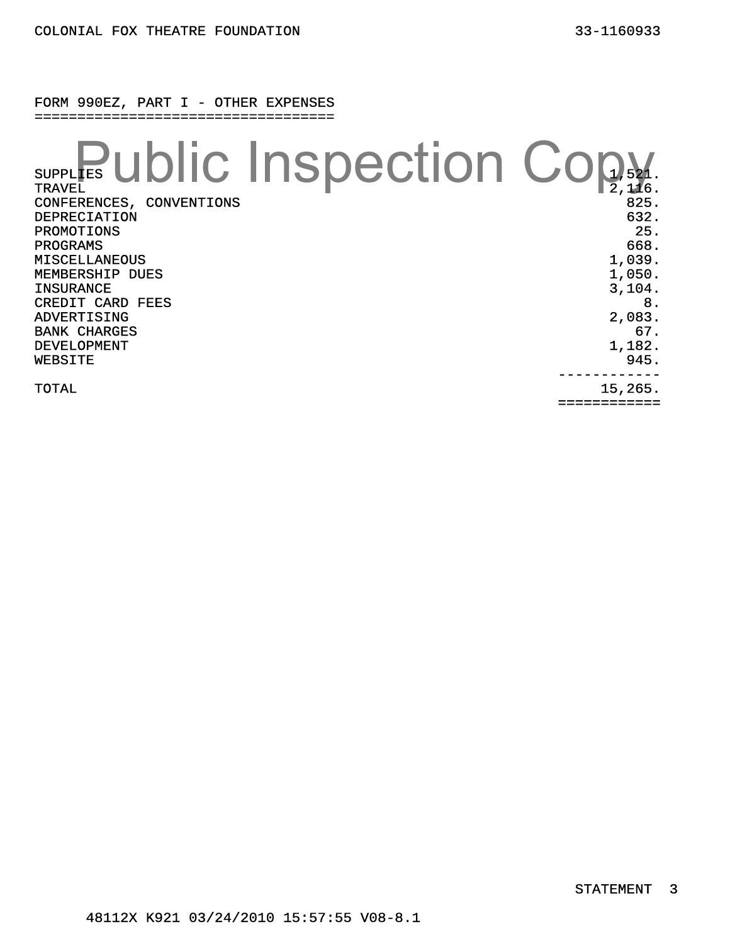| <b>TRAVEL</b><br>CONFERENCES, CONVENTIONS<br>DEPRECIATION<br><b>PROMOTIONS</b><br>PROGRAMS<br><b>MISCELLANEOUS</b><br>MEMBERSHIP DUES<br><b>INSURANCE</b><br>CREDIT CARD FEES<br>ADVERTISING<br><b>BANK CHARGES</b><br>DEVELOPMENT | <b>SUPPLIES UDIC INSpection Cop</b><br>825.<br>632.<br>25.<br>668.<br>1,039.<br>1,050.<br>3,104.<br>8.<br>2,083.<br>67.<br>1,182. |
|------------------------------------------------------------------------------------------------------------------------------------------------------------------------------------------------------------------------------------|-----------------------------------------------------------------------------------------------------------------------------------|
| WEBSITE                                                                                                                                                                                                                            | 945.                                                                                                                              |
| TOTAL                                                                                                                                                                                                                              | 15,265.                                                                                                                           |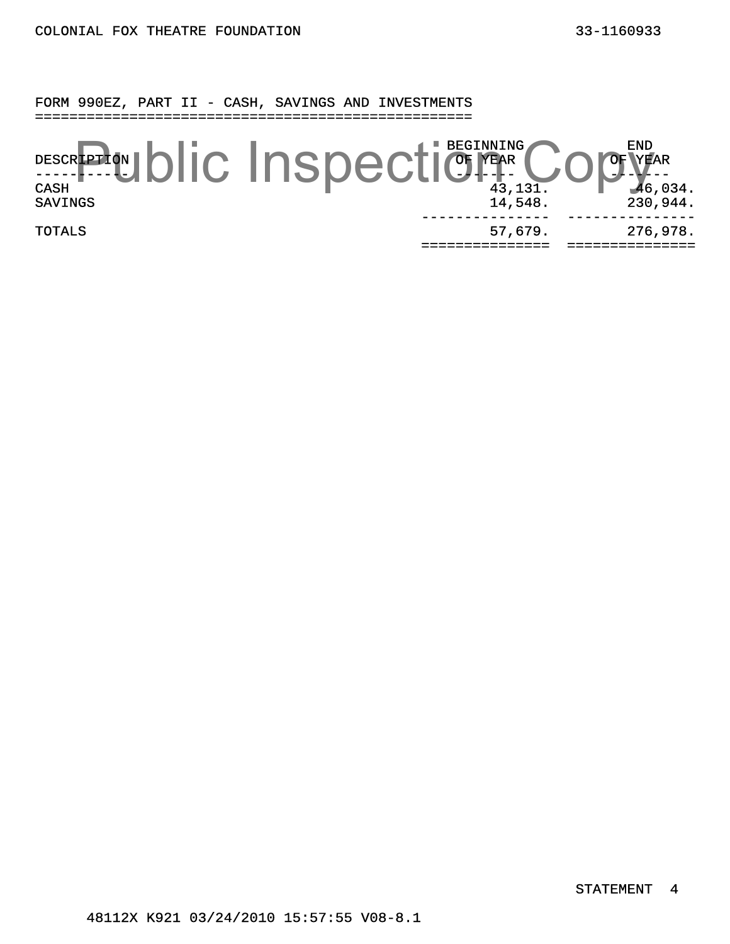FORM 990EZ, PART II - CASH, SAVINGS AND INVESTMENTS ===================================================

DESCRIPTION -----**-**----<del>-</del>-BEGINNING OF YEAR ------- END YEAR ------- DESCRIPTON DIC INSPECTICLE PEGINING COPYEAR SAVINGS 14,548. 230,944. TOTALS 57,679. --------------- =============== =============== 276,978. ---------------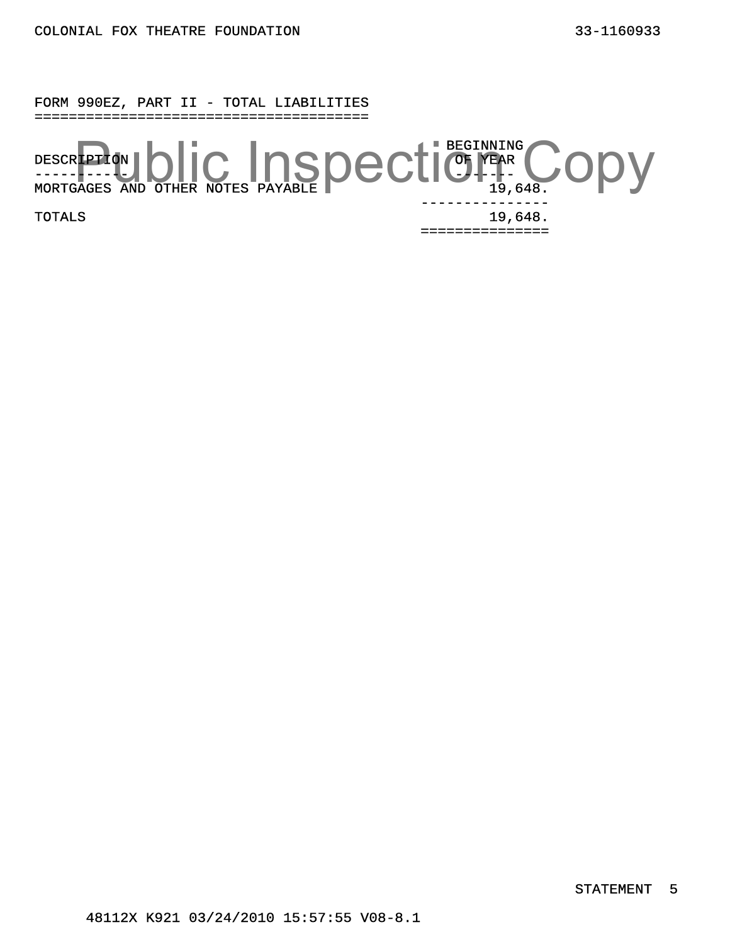#### FORM 990EZ, PART II - TOTAL LIABILITIES =======================================

DESCRIPTION ----------- BEGINNING OF YEAR -----MORTGAGES AND OTHER NOTES PAYABLE 19,648. TOTALS 19,648. --------------- REPLANT ONCE INSPECTICLE COPY

===============

STATEMENT 5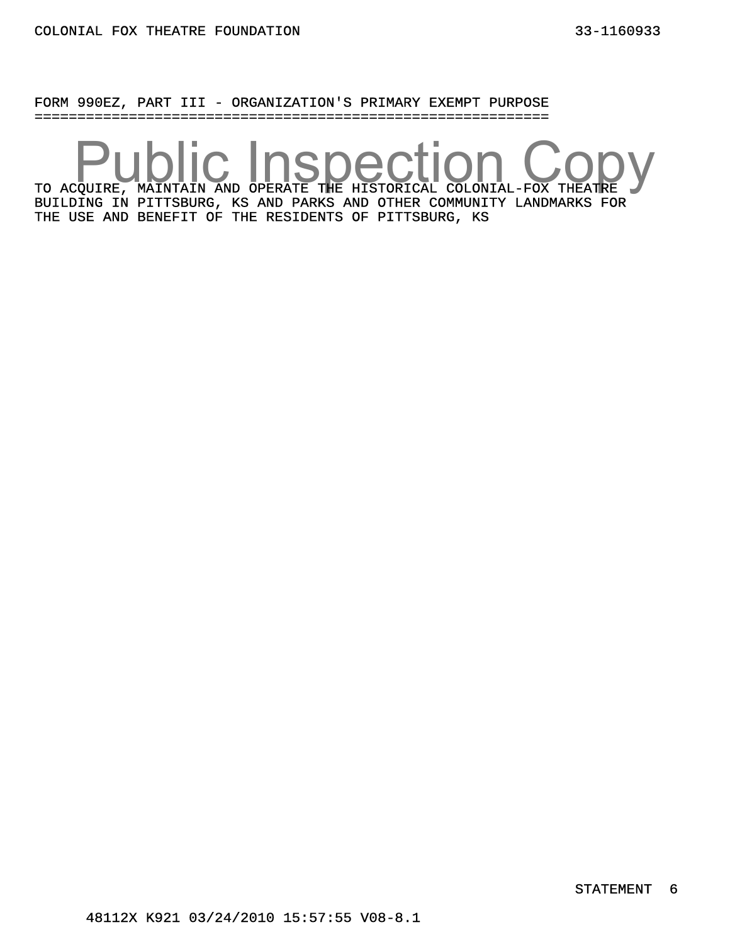FORM 990EZ, PART III - ORGANIZATION'S PRIMARY EXEMPT PURPOSE ============================================================

TO ACQUIRE, MAINTAIN AND OPERATE THE HISTORICAL COLONIAL-FOX THEATRE BUILDING IN PITTSBURG, KS AND PARKS AND OTHER COMMUNITY LANDMARKS FOR THE USE AND BENEFIT OF THE RESIDENTS OF PITTSBURG, KS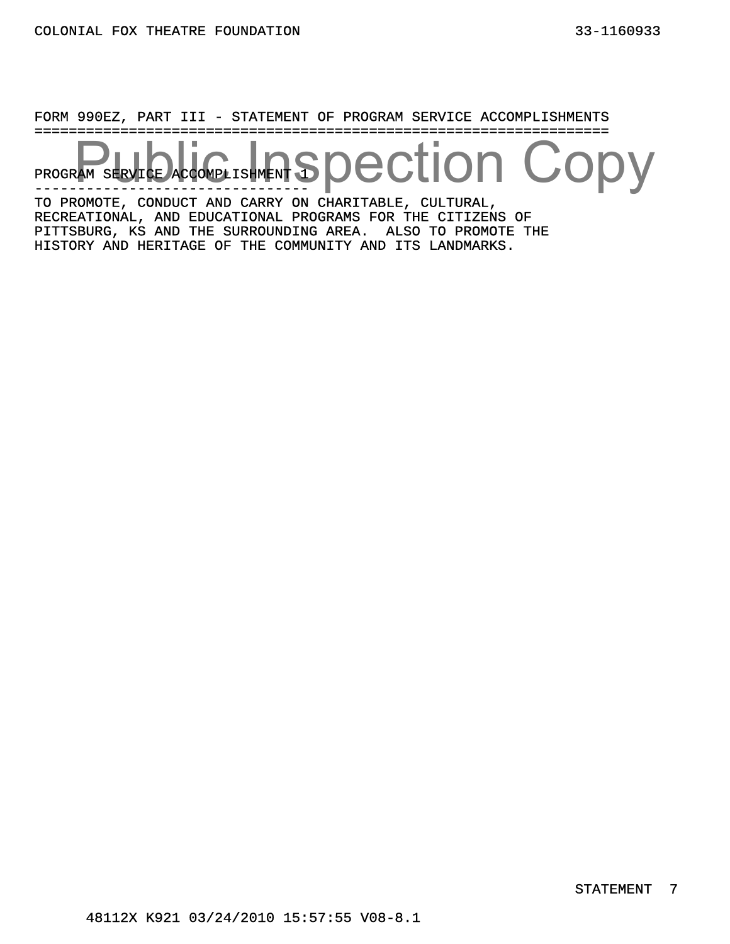FORM 990EZ, PART III - STATEMENT OF PROGRAM SERVICE ACCOMPLISHMENTS ===================================================================

PROGRAM SERVICE ACCOMPLISHMENT 1 ------------------------------- spection Copy

TO PROMOTE, CONDUCT AND CARRY ON CHARITABLE, CULTURAL, RECREATIONAL, AND EDUCATIONAL PROGRAMS FOR THE CITIZENS OF PITTSBURG, KS AND THE SURROUNDING AREA. ALSO TO PROMOTE THE HISTORY AND HERITAGE OF THE COMMUNITY AND ITS LANDMARKS.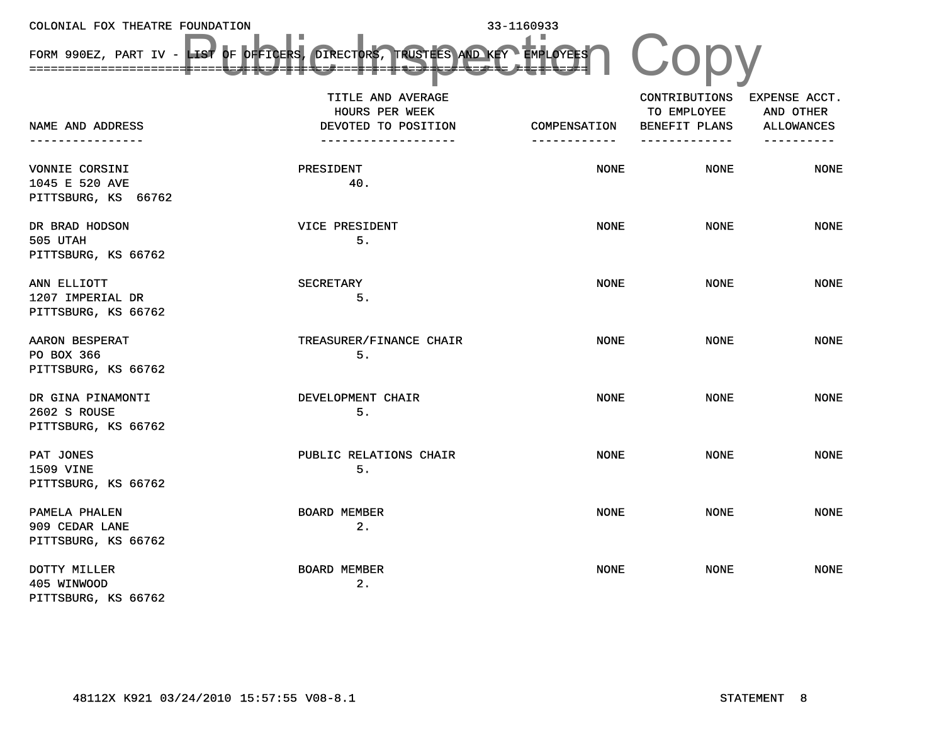| COLONIAL FOX THEATRE FOUNDATION         |                                                                               | 33-1160933          |               |                   |
|-----------------------------------------|-------------------------------------------------------------------------------|---------------------|---------------|-------------------|
|                                         | FORM 990EZ, PART IV - LIST OF OFFICERS, DIRECTORS, TRUSTEES AND KEY EMPLOYEES |                     |               |                   |
|                                         | TITLE AND AVERAGE                                                             |                     | CONTRIBUTIONS | EXPENSE ACCT.     |
|                                         | <b>HOURS PER WEEK</b>                                                         |                     | TO EMPLOYEE   | AND OTHER         |
| NAME AND ADDRESS                        | DEVOTED TO POSITION                                                           | <b>COMPENSATION</b> | BENEFIT PLANS | <b>ALLOWANCES</b> |
| ----------------                        | -------------------                                                           | ------------        | ------------- | ----------        |
| <b>VONNIE CORSINI</b>                   | <b>PRESIDENT</b>                                                              | <b>NONE</b>         | <b>NONE</b>   | <b>NONE</b>       |
| 1045 E 520 AVE                          | 40.                                                                           |                     |               |                   |
| PITTSBURG, KS 66762                     |                                                                               |                     |               |                   |
| DR BRAD HODSON                          | <b>VICE PRESIDENT</b>                                                         | <b>NONE</b>         | <b>NONE</b>   | <b>NONE</b>       |
| 505 UTAH                                | 5.                                                                            |                     |               |                   |
| PITTSBURG, KS 66762                     |                                                                               |                     |               |                   |
|                                         |                                                                               |                     |               |                   |
| ANN ELLIOTT                             | <b>SECRETARY</b>                                                              | <b>NONE</b>         | <b>NONE</b>   | <b>NONE</b>       |
| 1207 IMPERIAL DR<br>PITTSBURG, KS 66762 | 5.                                                                            |                     |               |                   |
|                                         |                                                                               |                     |               |                   |
| AARON BESPERAT                          | TREASURER/FINANCE CHAIR                                                       | <b>NONE</b>         | <b>NONE</b>   | <b>NONE</b>       |
| PO BOX 366                              | 5.                                                                            |                     |               |                   |
| PITTSBURG, KS 66762                     |                                                                               |                     |               |                   |
| DR GINA PINAMONTI                       | DEVELOPMENT CHAIR                                                             | <b>NONE</b>         | <b>NONE</b>   | <b>NONE</b>       |
| 2602 S ROUSE                            | 5.                                                                            |                     |               |                   |
| PITTSBURG, KS 66762                     |                                                                               |                     |               |                   |
| PAT JONES                               | PUBLIC RELATIONS CHAIR                                                        | <b>NONE</b>         | <b>NONE</b>   | <b>NONE</b>       |
| 1509 VINE                               | 5.                                                                            |                     |               |                   |
| PITTSBURG, KS 66762                     |                                                                               |                     |               |                   |
|                                         |                                                                               |                     |               |                   |
| PAMELA PHALEN                           | <b>BOARD MEMBER</b>                                                           | <b>NONE</b>         | <b>NONE</b>   | <b>NONE</b>       |
| 909 CEDAR LANE                          | 2.                                                                            |                     |               |                   |
| PITTSBURG, KS 66762                     |                                                                               |                     |               |                   |
| DOTTY MILLER                            | <b>BOARD MEMBER</b>                                                           | <b>NONE</b>         | <b>NONE</b>   | <b>NONE</b>       |
| 405 WINWOOD                             | 2.                                                                            |                     |               |                   |
| PITTSBURG, KS 66762                     |                                                                               |                     |               |                   |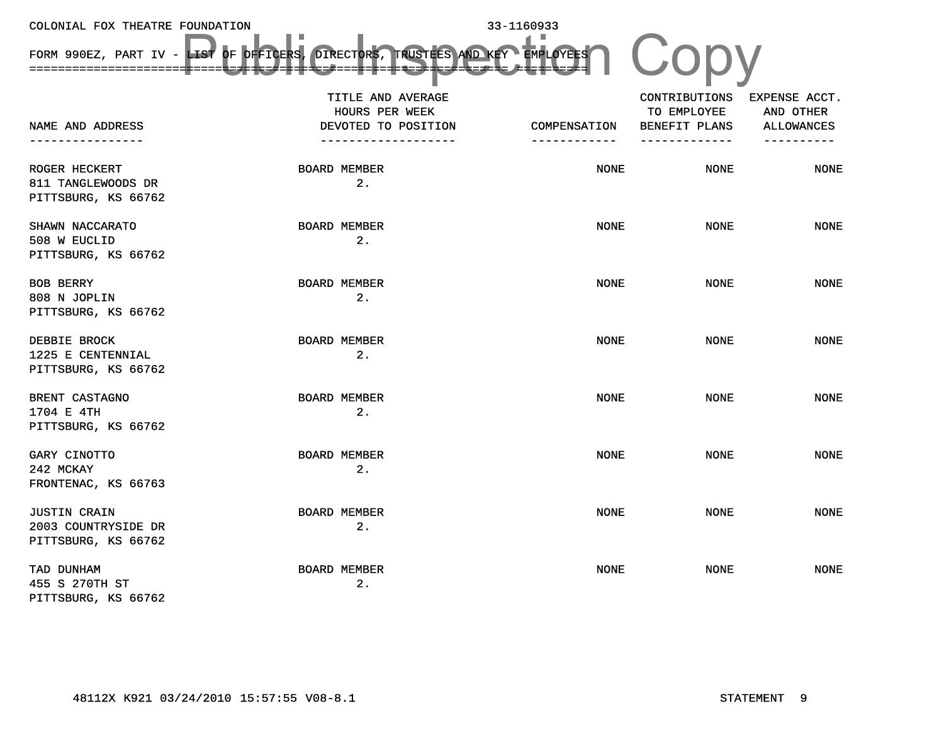FORM 990EZ, PART IV - LIST OF OFFICERS, DIRECTORS, TRUSTEES AND KEY ===================================================================EMPLOYEES==========NAME AND ADDRESS----------------TITLE AND AVERAGE HOURS PER WEEKDEVOTED TO POSITION -------------------COMPENSATION------------CONTRIBUTIONS TO EMPLOYEEBENEFIT PLANS -------------EXPENSE ACCT. AND OTHERALLOWANCES ----------ROGER HECKERT BOARD MEMBER 2. NONE NONE NONE 811 TANGLEWOODS DR PITTSBURG, KS 66762 SHAWN NACCARATO BOARD MEMBER 2. NONE NONE NONE 508 W EUCLID PITTSBURG, KS 66762 BOB BERRY BOARD MEMBER 2.NONE NONE NONE 808 N JOPLIN PITTSBURG, KS 66762 DEBBIE BROCK BOARD MEMBER 2. NONE NONE NONE 1225 E CENTENNIAL PITTSBURG, KS 66762 BRENT CASTAGNO BOARD MEMBER 2. NONE NONE NONE 1704 E 4TH PITTSBURG, KS 66762 GARY CINOTTO BOARD MEMBER 2. NONE NONE NONE 242 MCKAYFRONTENAC, KS 66763 JUSTIN CRAIN BOARD MEMBER 2. NONE NONE NONE 2003 COUNTRYSIDE DR PITTSBURG, KS 66762 TAD DUNHAM BOARD MEMBER 2. NONE NONE NONE 455 S 270TH ST PITTSBURG, KS 66762 LES OF PERSER DIRECTORS, TRUSTES ANDREY EMPLOYES (CODY

33-1160933

COLONIAL FOX THEATRE FOUNDATION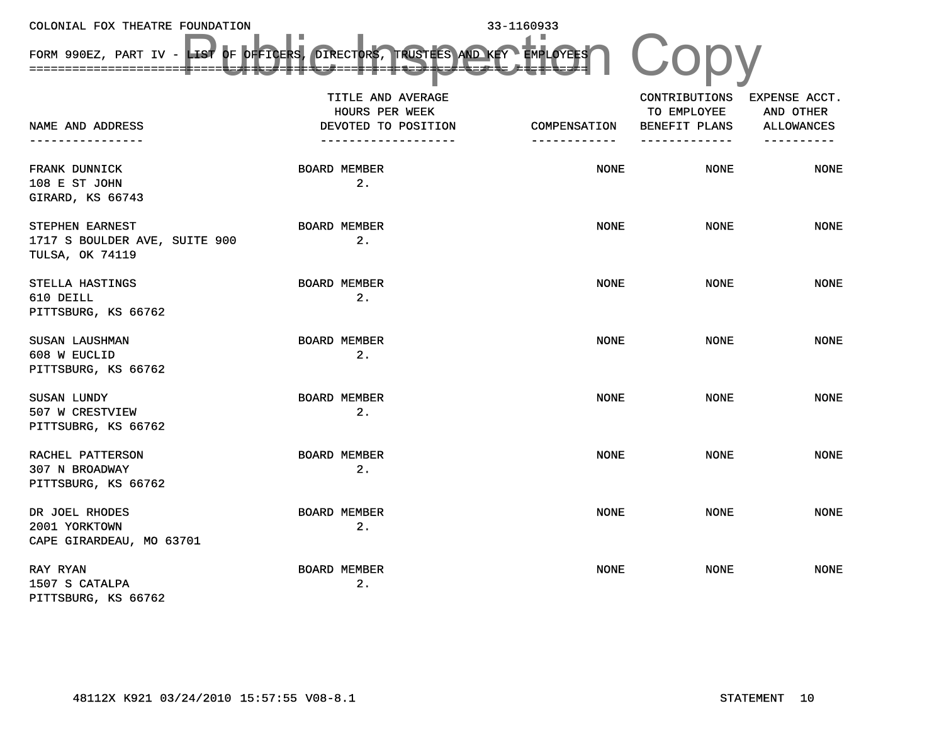FORM 990EZ, PART IV - LIST OF OFFICERS, DIRECTORS, TRUSTEES AND KEY ===================================================================EMPLOYEES==========NAME AND ADDRESS----------------TITLE AND AVERAGE HOURS PER WEEKDEVOTED TO POSITION -------------------COMPENSATION------------CONTRIBUTIONS TO EMPLOYEEBENEFIT PLANS -------------EXPENSE ACCT. AND OTHERALLOWANCES ----------FRANK DUNNICK BOARD MEMBER 2. NONE NONE NONE 108 E ST JOHN GIRARD, KS 66743 STEPHEN EARNEST BOARD MEMBER 2. NONE NONE NONE 1717 S BOULDER AVE, SUITE 900 TULSA, OK 74119 STELLA HASTINGS BOARD MEMBER 2.NONE NONE NONE 610 DEILL PITTSBURG, KS 66762 SUSAN LAUSHMAN BOARD MEMBER 2. NONE NONE NONE 608 W EUCLID PITTSBURG, KS 66762 SUSAN LUNDY BOARD MEMBER 2. NONE NONE NONE 507 W CRESTVIEW PITTSUBRG, KS 66762 RACHEL PATTERSON BOARD MEMBER 2. NONE NONE NONE 307 N BROADWAY PITTSBURG, KS 66762 DR JOEL RHODES BOARD MEMBER 2. NONE NONE NONE 2001 YORKTOWN CAPE GIRARDEAU, MO 63701 RAY RYAN BOARD MEMBER 2. NONE NONE NONE 1507 S CATALPA PITTSBURG, KS 66762 LES OF PERSER DIRECTORS, TRUSTES ANDREY EMPLOYES (CODY

33-1160933

COLONIAL FOX THEATRE FOUNDATION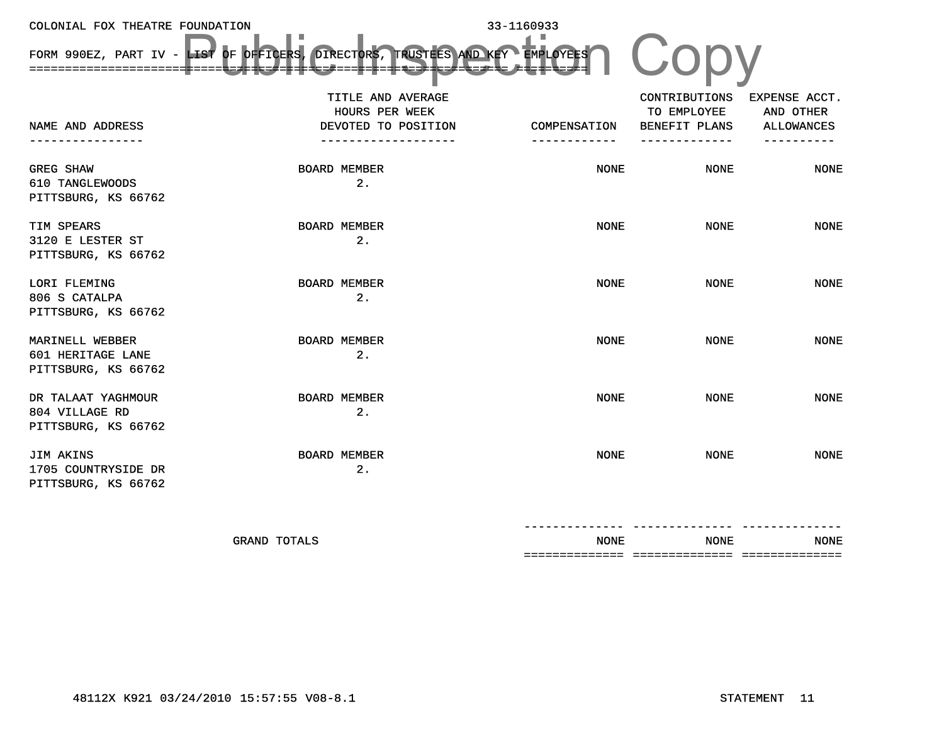COLONIAL FOX THEATRE FOUNDATION 33-1160933 FORM 990EZ, PART IV - LIST OF OFFICERS, DIRECTORS, TRUSTEES AND KEY ===================================================================EMPLOYEES======== NAME AND ADDRESS----------------TITLE AND AVERAGE HOURS PER WEEKDEVOTED TO POSITION -------------------COMPENSATION------------CONTRIBUTIONS TO EMPLOYEE BENEFIT PLANS -------------EXPENSE ACCT. AND OTHER ALLOWANCES ----------GREG SHAW BOARD MEMBER 2. NONE NONE NONE 610 TANGLEWOODS PITTSBURG, KS 66762 TIM SPEARS BOARD MEMBER 2. NONE NONE NONE 3120 E LESTER ST PITTSBURG, KS 66762 LORI FLEMING BOARD MEMBER 2. NONE NONE NONE 806 S CATALPA PITTSBURG, KS 66762 MARINELL WEBBER BOARD MEMBER 2. NONE NONE NONE 601 HERITAGE LANE PITTSBURG, KS 66762 DR TALAAT YAGHMOUR BOARD MEMBER 2. NONE NONE NONE 804 VILLAGE RD PITTSBURG, KS 66762 JIM AKINS BOARD MEMBER 2. NONE NONE NONE 1705 COUNTRYSIDE DR PITTSBURG, KS 66762 LES OF PERSER DIRECTORS, TRUSTES ANDREY EMPLOYES (CODY

| ______________                   | --------------                   | --------------                   |                       |
|----------------------------------|----------------------------------|----------------------------------|-----------------------|
| <b>NONE</b>                      | <b>NONE</b>                      | <b>NONE</b>                      | GRAND<br><b>TOTAT</b> |
| --------------<br>-------------- | --------------<br>______________ | --------------<br>-------------- |                       |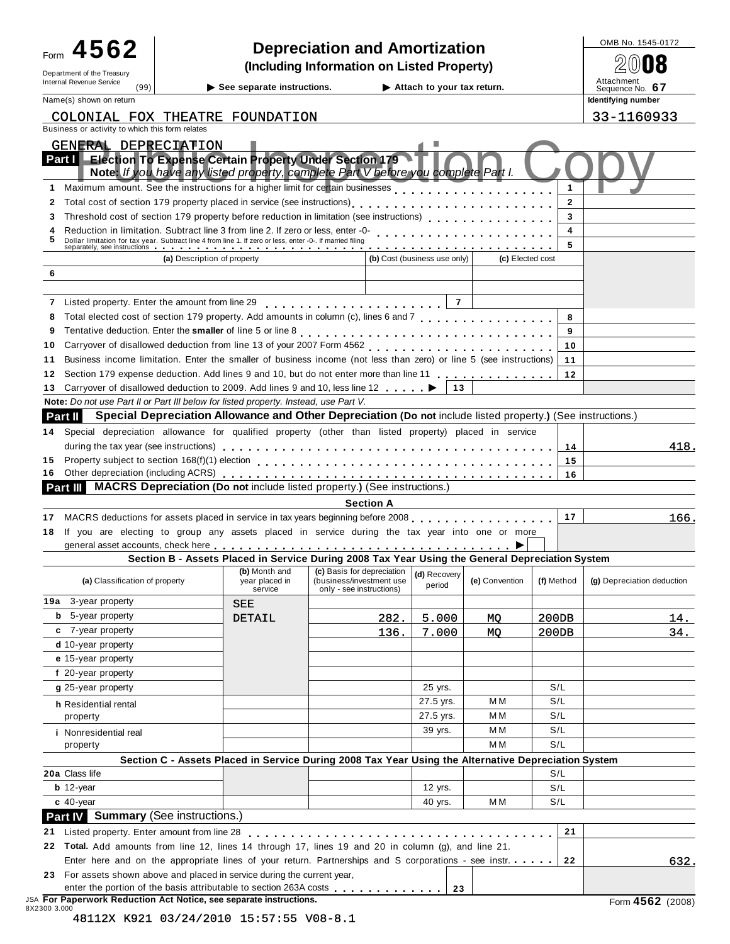| 4562                                                                                                                                                                                                                                                                                                                                              |                             |                                                                                                                                                     |                                                      |                  |                              |                  |                | OMB No. 1545-0172          |
|---------------------------------------------------------------------------------------------------------------------------------------------------------------------------------------------------------------------------------------------------------------------------------------------------------------------------------------------------|-----------------------------|-----------------------------------------------------------------------------------------------------------------------------------------------------|------------------------------------------------------|------------------|------------------------------|------------------|----------------|----------------------------|
| Form                                                                                                                                                                                                                                                                                                                                              |                             | <b>Depreciation and Amortization</b><br>(Including Information on Listed Property)                                                                  |                                                      |                  |                              |                  |                |                            |
| Department of the Treasury                                                                                                                                                                                                                                                                                                                        |                             |                                                                                                                                                     |                                                      |                  |                              |                  |                | Attachment                 |
| Internal Revenue Service<br>(99)                                                                                                                                                                                                                                                                                                                  |                             | $\blacktriangleright$ See separate instructions.                                                                                                    |                                                      |                  | Attach to your tax return.   |                  |                | Sequence No. 67            |
| Name(s) shown on return                                                                                                                                                                                                                                                                                                                           |                             |                                                                                                                                                     |                                                      |                  |                              |                  |                | Identifying number         |
| COLONIAL FOX THEATRE FOUNDATION<br>Business or activity to which this form relates                                                                                                                                                                                                                                                                |                             |                                                                                                                                                     |                                                      |                  |                              |                  |                | 33-1160933                 |
| <b>GENERAL DEPRECIATION</b>                                                                                                                                                                                                                                                                                                                       |                             |                                                                                                                                                     |                                                      |                  |                              |                  |                |                            |
| Part I                                                                                                                                                                                                                                                                                                                                            |                             | <b>Election To Expense Certain Property Under Section 179</b><br>Note: If you have any listed property, complete Part V before you complete Part I. |                                                      |                  |                              |                  |                |                            |
| Maximum amount. See the instructions for a higher limit for certain businesses<br>1.                                                                                                                                                                                                                                                              |                             |                                                                                                                                                     |                                                      |                  |                              |                  | 1              |                            |
| 2                                                                                                                                                                                                                                                                                                                                                 |                             |                                                                                                                                                     |                                                      |                  |                              |                  | $\overline{2}$ |                            |
| Threshold cost of section 179 property before reduction in limitation (see instructions)<br>3                                                                                                                                                                                                                                                     |                             |                                                                                                                                                     |                                                      |                  |                              |                  | 3              |                            |
| Reduction in limitation. Subtract line 3 from line 2. If zero or less, enter -0-<br>Reduction in limitation. Subtract line 3 from line 2. If zero or less, enter -0-<br>4                                                                                                                                                                         |                             |                                                                                                                                                     |                                                      |                  |                              |                  | 4              |                            |
| Dollar limitation for tax year. Subtract line 4 from line 1. If zero or less, enter -0-. If married filing<br>separately, see instructions <b>interval</b> in the content of the content of the content of the content of the content of the content of the content of the content of the content of the content of the content of the content of |                             |                                                                                                                                                     |                                                      |                  |                              |                  | 5              |                            |
|                                                                                                                                                                                                                                                                                                                                                   | (a) Description of property |                                                                                                                                                     |                                                      |                  | (b) Cost (business use only) | (c) Elected cost |                |                            |
| 6                                                                                                                                                                                                                                                                                                                                                 |                             |                                                                                                                                                     |                                                      |                  |                              |                  |                |                            |
| 7 Listed property. Enter the amount from line 29 [10] [10] Listed property. Enter the amount from line 29                                                                                                                                                                                                                                         |                             |                                                                                                                                                     |                                                      |                  | $\overline{7}$               |                  |                |                            |
| 8                                                                                                                                                                                                                                                                                                                                                 |                             |                                                                                                                                                     |                                                      |                  |                              |                  | 8              |                            |
| 9                                                                                                                                                                                                                                                                                                                                                 |                             |                                                                                                                                                     |                                                      |                  |                              |                  | 9              |                            |
| 10                                                                                                                                                                                                                                                                                                                                                |                             |                                                                                                                                                     |                                                      |                  |                              |                  | 10             |                            |
| Business income limitation. Enter the smaller of business income (not less than zero) or line 5 (see instructions)<br>11                                                                                                                                                                                                                          |                             |                                                                                                                                                     |                                                      |                  |                              |                  | 11             |                            |
| Section 179 expense deduction. Add lines 9 and 10, but do not enter more than line 11<br>12                                                                                                                                                                                                                                                       |                             |                                                                                                                                                     |                                                      |                  |                              |                  | 12             |                            |
| Carryover of disallowed deduction to 2009. Add lines 9 and 10, less line 12<br>13                                                                                                                                                                                                                                                                 |                             |                                                                                                                                                     |                                                      |                  | 13                           |                  |                |                            |
| Note: Do not use Part II or Part III below for listed property. Instead, use Part V.                                                                                                                                                                                                                                                              |                             |                                                                                                                                                     |                                                      |                  |                              |                  |                |                            |
| Part II l                                                                                                                                                                                                                                                                                                                                         |                             | Special Depreciation Allowance and Other Depreciation (Do not include listed property.) (See instructions.)                                         |                                                      |                  |                              |                  |                |                            |
| Special depreciation allowance for qualified property (other than listed property) placed in service<br>14                                                                                                                                                                                                                                        |                             |                                                                                                                                                     |                                                      |                  |                              |                  |                |                            |
|                                                                                                                                                                                                                                                                                                                                                   |                             |                                                                                                                                                     |                                                      |                  |                              |                  | 14             | 418.                       |
| 15                                                                                                                                                                                                                                                                                                                                                |                             |                                                                                                                                                     |                                                      |                  |                              |                  | 15             |                            |
| 16                                                                                                                                                                                                                                                                                                                                                |                             |                                                                                                                                                     |                                                      |                  |                              |                  | 16             |                            |
| Part III MACRS Depreciation (Do not include listed property.) (See instructions.)                                                                                                                                                                                                                                                                 |                             |                                                                                                                                                     |                                                      |                  |                              |                  |                |                            |
|                                                                                                                                                                                                                                                                                                                                                   |                             |                                                                                                                                                     |                                                      | <b>Section A</b> |                              |                  |                |                            |
| MACRS deductions for assets placed in service in tax years beginning before 2008<br>17                                                                                                                                                                                                                                                            |                             |                                                                                                                                                     |                                                      |                  |                              |                  | 17             | 166.                       |
| If you are electing to group any assets placed in service during the tax year into one or more<br>18                                                                                                                                                                                                                                              |                             |                                                                                                                                                     |                                                      |                  |                              |                  |                |                            |
| general asset accounts, check here enterpretation of the content of the content of the content of the content of the content of the content of the content of the content of the content of the content of the content of the                                                                                                                     |                             |                                                                                                                                                     |                                                      |                  |                              |                  |                |                            |
|                                                                                                                                                                                                                                                                                                                                                   |                             | Section B - Assets Placed in Service During 2008 Tax Year Using the General Depreciation System                                                     |                                                      |                  |                              |                  |                |                            |
| (a) Classification of property                                                                                                                                                                                                                                                                                                                    |                             | (b) Month and (c) Basis for depreciation<br>year placed in<br>service                                                                               | (business/investment use<br>only - see instructions) |                  | (d) Recovery<br>period       | (e) Convention   | (f) Method     | (g) Depreciation deduction |
| <b>19a</b> 3-year property                                                                                                                                                                                                                                                                                                                        |                             | <b>SEE</b>                                                                                                                                          |                                                      |                  |                              |                  |                |                            |
| 5-year property<br>b                                                                                                                                                                                                                                                                                                                              |                             | DETAIL                                                                                                                                              |                                                      | 282.             | 5.000                        | MO               | 200DB          | 14.                        |
| c 7-year property                                                                                                                                                                                                                                                                                                                                 |                             |                                                                                                                                                     |                                                      | 136.             | 7.000                        | <b>MQ</b>        | 200DB          | 34.                        |
| d 10-year property                                                                                                                                                                                                                                                                                                                                |                             |                                                                                                                                                     |                                                      |                  |                              |                  |                |                            |
| e 15-year property                                                                                                                                                                                                                                                                                                                                |                             |                                                                                                                                                     |                                                      |                  |                              |                  |                |                            |
| f 20-year property                                                                                                                                                                                                                                                                                                                                |                             |                                                                                                                                                     |                                                      |                  |                              |                  |                |                            |
| g 25-year property                                                                                                                                                                                                                                                                                                                                |                             |                                                                                                                                                     |                                                      |                  | 25 yrs.                      |                  | S/L            |                            |
| h Residential rental                                                                                                                                                                                                                                                                                                                              |                             |                                                                                                                                                     |                                                      |                  | 27.5 yrs.                    | МM               | S/L            |                            |
| property                                                                                                                                                                                                                                                                                                                                          |                             |                                                                                                                                                     |                                                      |                  | 27.5 yrs.                    | МM               | S/L            |                            |
| <i>i</i> Nonresidential real                                                                                                                                                                                                                                                                                                                      |                             |                                                                                                                                                     |                                                      |                  | 39 yrs.                      | МM               | S/L            |                            |
| property                                                                                                                                                                                                                                                                                                                                          |                             |                                                                                                                                                     |                                                      |                  |                              | MМ               | S/L            |                            |
|                                                                                                                                                                                                                                                                                                                                                   |                             | Section C - Assets Placed in Service During 2008 Tax Year Using the Alternative Depreciation System                                                 |                                                      |                  |                              |                  |                |                            |
| 20a Class life                                                                                                                                                                                                                                                                                                                                    |                             |                                                                                                                                                     |                                                      |                  |                              |                  | S/L            |                            |
| $b$ 12-year                                                                                                                                                                                                                                                                                                                                       |                             |                                                                                                                                                     |                                                      |                  | 12 yrs.                      |                  | S/L            |                            |
| $c$ 40-year                                                                                                                                                                                                                                                                                                                                       |                             |                                                                                                                                                     |                                                      |                  | 40 yrs.                      | МM               | S/L            |                            |
| Part IV Summary (See instructions.)                                                                                                                                                                                                                                                                                                               |                             |                                                                                                                                                     |                                                      |                  |                              |                  |                |                            |
| 21 Listed property. Enter amount from line 28                                                                                                                                                                                                                                                                                                     |                             |                                                                                                                                                     | .                                                    |                  |                              |                  | 21             |                            |
| 22 Total. Add amounts from line 12, lines 14 through 17, lines 19 and 20 in column (g), and line 21.                                                                                                                                                                                                                                              |                             |                                                                                                                                                     |                                                      |                  |                              |                  |                |                            |
| Enter here and on the appropriate lines of your return. Partnerships and S corporations - see instr.                                                                                                                                                                                                                                              |                             |                                                                                                                                                     |                                                      |                  |                              |                  | 22             | 632.                       |
| 23 For assets shown above and placed in service during the current year,                                                                                                                                                                                                                                                                          |                             |                                                                                                                                                     |                                                      |                  |                              |                  |                |                            |

| 23 For assets shown above and placed in service during the current year,                  |    |                  |
|-------------------------------------------------------------------------------------------|----|------------------|
|                                                                                           | 23 |                  |
| <b>JSA For Paperwork Reduction Act Notice, see separate instructions.</b><br>8X2300 3.000 |    | Form 4562 (2008) |